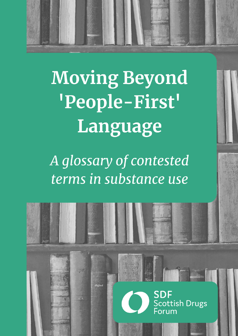

**Moving Beyond** 'People-First' Language

A glossary of contested terms in substance use

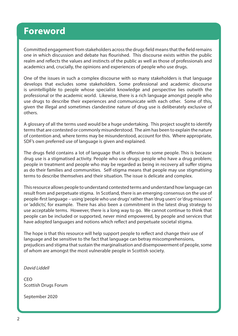# **Foreword**

Committed engagement from stakeholders across the drugs field means that the field remains one in which discussion and debate has flourished. This discourse exists within the public realm and reflects the values and instincts of the public as well as those of professionals and academics and, crucially, the opinions and experiences of people who use drugs.

One of the issues in such a complex discourse with so many stakeholders is that language develops that excludes some stakeholders. Some professional and academic discourse is unintelligible to people whose specialist knowledge and perspective lies outwith the professional or the academic world. Likewise, there is a rich language amongst people who use drugs to describe their experiences and communicate with each other. Some of this, given the illegal and sometimes clandestine nature of drug use is deliberately exclusive of others.

A glossary of all the terms used would be a huge undertaking. This project sought to identify terms that are contested or commonly misunderstood. The aim has been to explain the nature of contention and, where terms may be misunderstood, account for this. Where appropriate, SDF's own preferred use of language is given and explained.

The drugs field contains a lot of language that is offensive to some people. This is because drug use is a stigmatised activity. People who use drugs; people who have a drug problem; people in treatment and people who may be regarded as being in recovery all suffer stigma as do their families and communities. Self-stigma means that people may use stigmatising terms to describe themselves and their situation. The issue is delicate and complex.

This resource allows people to understand contested terms and understand how language can result from and perpetuate stigma. In Scotland, there is an emerging consensus on the use of people-first language – using 'people who use drugs' rather than 'drug users' or 'drug misusers' or 'addicts', for example. There has also been a commitment in the latest drug strategy to use acceptable terms. However, there is a long way to go. We cannot continue to think that people can be included or supported, never mind empowered, by people and services that have adopted languages and notions which reflect and perpetuate societal stigma.

The hope is that this resource will help support people to reflect and change their use of language and be sensitive to the fact that language can betray miscomprehensions, prejudices and stigma that sustain the marginalisation and disempowerment of people, some of whom are amongst the most vulnerable people in Scottish society.

David Liddell

CEO Scottish Drugs Forum

September 2020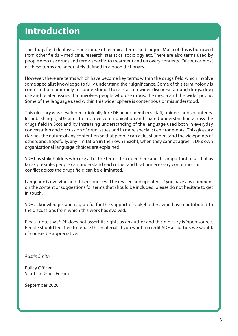# **Introduction**

The drugs field deploys a huge range of technical terms and jargon. Much of this is borrowed from other fields – medicine, research, statistics, sociology etc. There are also terms used by people who use drugs and terms specific to treatment and recovery contexts. Of course, most of these terms are adequately defined in a good dictionary.

However, there are terms which have become key terms within the drugs field which involve some specialist knowledge to fully understand their significance. Some of this terminology is contested or commonly misunderstood. There is also a wider discourse around drugs, drug use and related issues that involves people who use drugs, the media and the wider public. Some of the language used within this wider sphere is contentious or misunderstood.

This glossary was developed originally for SDF board members, staff, trainees and volunteers. In publishing it, SDF aims to improve communication and shared understanding across the drugs field in Scotland by increasing understanding of the language used both in everyday conversation and discussion of drug issues and in more specialist environments. This glossary clarifies the nature of any contention so that people can at least understand the viewpoints of others and, hopefully, any limitation in their own insight, when they cannot agree. SDF's own organisational language choices are explained.

SDF has stakeholders who use all of the terms described here and it is important to us that as far as possible, people can understand each other and that unnecessary contention or conflict across the drugs field can be eliminated.

Language is evolving and this resource will be revised and updated. If you have any comment on the content or suggestions for terms that should be included, please do not hesitate to get in touch.

SDF acknowledges and is grateful for the support of stakeholders who have contributed to the discussions from which this work has evolved.

Please note that SDF does not assert its rights as an author and this glossary is 'open source'. People should feel free to re-use this material. If you want to credit SDF as author, we would, of course, be appreciative.

Austin Smith

Policy Officer Scottish Drugs Forum

September 2020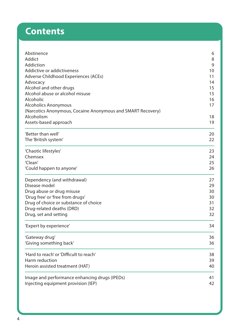# **Contents**

| Abstinence<br>Addict                                                                                                                                      | 6<br>8               |                                                             |    |
|-----------------------------------------------------------------------------------------------------------------------------------------------------------|----------------------|-------------------------------------------------------------|----|
|                                                                                                                                                           |                      | Addiction                                                   | 9  |
| Addictive or addictiveness<br>Adverse Childhood Experiences (ACEs)<br>Advocacy<br>Alcohol and other drugs<br>Alcohol abuse or alcohol misuse<br>Alcoholic | 10<br>11<br>14<br>15 |                                                             |    |
|                                                                                                                                                           |                      | 15<br>16                                                    |    |
|                                                                                                                                                           |                      | <b>Alcoholics Anonymous</b>                                 | 17 |
|                                                                                                                                                           |                      | (Narcotics Anonymous, Cocaine Anonymous and SMART Recovery) |    |
|                                                                                                                                                           | Alcoholism           | 18                                                          |    |
| Assets-based approach                                                                                                                                     | 19                   |                                                             |    |
|                                                                                                                                                           |                      |                                                             |    |
| 'Better than well'                                                                                                                                        | 20                   |                                                             |    |
| The 'British system'                                                                                                                                      | 22                   |                                                             |    |
| 'Chaotic lifestyles'                                                                                                                                      | 23                   |                                                             |    |
| Chemsex                                                                                                                                                   | 24                   |                                                             |    |
| 'Clean'                                                                                                                                                   | 25                   |                                                             |    |
| 'Could happen to anyone'                                                                                                                                  | 26                   |                                                             |    |
| Dependency (and withdrawal)                                                                                                                               | 27                   |                                                             |    |
| Disease model                                                                                                                                             | 29                   |                                                             |    |
| Drug abuse or drug misuse                                                                                                                                 | 30                   |                                                             |    |
| 'Drug free' or 'free from drugs'                                                                                                                          | 30                   |                                                             |    |
| Drug of choice or substance of choice                                                                                                                     | 31                   |                                                             |    |
| Drug-related deaths (DRD)                                                                                                                                 | 32                   |                                                             |    |
| Drug, set and setting                                                                                                                                     | 32                   |                                                             |    |
| 'Expert by experience'                                                                                                                                    | 34                   |                                                             |    |
| 'Gateway drug'                                                                                                                                            | 36                   |                                                             |    |
| 'Giving something back'                                                                                                                                   | 36                   |                                                             |    |
| 'Hard to reach' or 'Difficult to reach'                                                                                                                   | 38                   |                                                             |    |
| Harm reduction                                                                                                                                            | 39                   |                                                             |    |
| Heroin assisted treatment (HAT)                                                                                                                           | 40                   |                                                             |    |
| Image and performance enhancing drugs (IPEDs)                                                                                                             | 41                   |                                                             |    |
| Injecting equipment provision (IEP)                                                                                                                       | 42                   |                                                             |    |
|                                                                                                                                                           |                      |                                                             |    |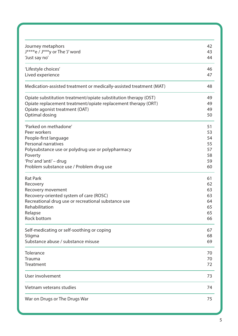| Journey metaphors                                                   | 42 |
|---------------------------------------------------------------------|----|
| J****e / J***y or The 'J' word                                      | 43 |
| 'Just say no'                                                       | 44 |
| 'Lifestyle choices'                                                 | 46 |
| Lived experience                                                    | 47 |
| Medication-assisted treatment or medically-assisted treatment (MAT) | 48 |
| Opiate substitution treatment/opiate substitution therapy (OST)     | 49 |
| Opiate replacement treatment/opiate replacement therapy (ORT)       | 49 |
| Opiate agonist treatment (OAT)                                      | 49 |
| Optimal dosing                                                      | 50 |
| 'Parked on methadone'                                               | 51 |
| Peer workers                                                        | 53 |
| People-first language                                               | 54 |
| Personal narratives                                                 | 55 |
| Polysubstance use or polydrug use or polypharmacy                   | 57 |
| Poverty                                                             | 58 |
| 'Pro' and 'anti' - drug                                             | 59 |
| Problem substance use / Problem drug use                            | 60 |
| <b>Rat Park</b>                                                     | 61 |
| Recovery                                                            | 62 |
| Recovery movement                                                   | 63 |
| Recovery-oriented system of care (ROSC)                             | 63 |
| Recreational drug use or recreational substance use                 | 64 |
| Rehabilitation                                                      | 65 |
| Relapse                                                             | 65 |
| Rock bottom                                                         | 66 |
| Self-medicating or self-soothing or coping                          | 67 |
| Stigma                                                              | 68 |
| Substance abuse / substance misuse                                  | 69 |
| <b>Tolerance</b>                                                    | 70 |
| Trauma                                                              | 70 |
| Treatment                                                           | 72 |
| User involvement                                                    | 73 |
| Vietnam veterans studies                                            | 74 |
| War on Drugs or The Drugs War                                       | 75 |
|                                                                     |    |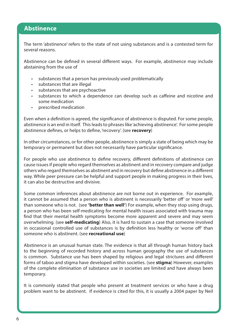### <span id="page-5-0"></span>**Abstinence**

The term 'abstinence' refers to the state of not using substances and is a contested term for several reasons.

Abstinence can be defined in several different ways. For example, abstinence may include abstaining from the use of

- substances that a person has previously used problematically
- substances that are illegal
- substances that are psychoactive
- substances to which a dependence can develop such as caffeine and nicotine and some medication
- prescribed medication

Even when a definition is agreed, the significance of abstinence is disputed. For some people, abstinence is an end in itself. This leads to phrases like 'achieving abstinence'. For some people abstinence defines, or helps to define, 'recovery'. (see **recovery**)

In other circumstances, or for other people, abstinence is simply a state of being which may be temporary or permanent but does not necessarily have particular significance.

For people who use abstinence to define recovery, different definitions of abstinence can cause issues if people who regard themselves as abstinent and in recovery compare and judge others who regard themselves as abstinent and in recovery but define abstinence in a different way. While peer pressure can be helpful and support people in making progress in their lives, it can also be destructive and divisive.

Some common inferences about abstinence are not borne out in experience. For example, it cannot be assumed that a person who is abstinent is necessarily 'better off' or 'more well' than someone who is not. (see **'better than well'**) For example, when they stop using drugs, a person who has been self-medicating for mental health issues associated with trauma may find that their mental health symptoms become more apparent and severe and may seem overwhelming. (see **self-medicating**) Also, it is hard to sustain a case that someone involved in occasional controlled use of substances is by definition less healthy or 'worse off' than someone who is abstinent. (see **recreational use**)

Abstinence is an unusual human state. The evidence is that all through human history back to the beginning of recorded history and across human geography the use of substances is common. Substance use has been shaped by religious and legal strictures and different forms of taboo and stigma have developed within societies. (see **stigma**) However, examples of the complete elimination of substance use in societies are limited and have always been temporary.

It is commonly stated that people who present at treatment services or who have a drug problem want to be abstinent. If evidence is cited for this, it is usually a 2004 paper by Neil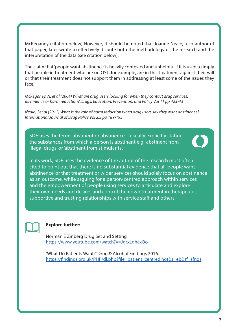McKeganey (citation below) However, it should be noted that Joanne Neale, a co-author of that paper, later wrote to effectively dispute both the methodology of the research and the interpretation of the data.(see citation below).

The claim that 'people want abstinence' is heavily contested and unhelpful if it is used to imply that people in treatment who are on OST, for example, are in this treatment against their will or that their treatment does not support them in addressing at least some of the issues they face.

McKeganey, N. et al (2004) What are drug users looking for when they contact drug services: abstinence or harm reduction? Drugs: Education, Prevention, and Policy Vol 11 pp 423-43

Neale, J et al (2011) What is the role of harm reduction when drug users say they want abstinence? International Journal of Drug Policy Vol 2.3 pp 189-193

SDF uses the terms abstinent or abstinence – usually explicitly stating the substances from which a person is abstinent e.g. 'abstinent from illegal drugs' or 'abstinent from stimulants'.



In its work, SDF uses the evidence of the author of the research most often cited to point out that there is no substantial evidence that all 'people want abstinence' or that treatment or wider services should solely focus on abstinence as an outcome, while arguing for a person-centred approach within services and the empowerment of people using services to articulate and explore their own needs and desires and control their own treatment in therapeutic, supportive and trusting relationships with service staff and others.



#### **Explore further:**

Norman E Zinberg Drug Set and Setting <https://www.youtube.com/watch?v=JgrxLqhcxOo>

'What Do Patients Want?' Drug & Alcohol Findings 2016 [https://findings.org.uk/PHP/dl.php?file=patient\\_centred.hot&s=eb&sf=sfnos](https://findings.org.uk/PHP/dl.php?file=patient_centred.hot&s=eb&sf=sfnos)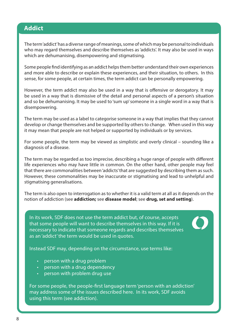### <span id="page-7-0"></span>**Addict**

The term 'addict' has a diverse range of meanings, some of which may be personal to individuals who may regard themselves and describe themselves as 'addicts'. It may also be used in ways which are dehumanising, disempowering and stigmatising.

Some people find identifying as an addict helps them better understand their own experiences and more able to describe or explain these experiences, and their situation, to others. In this sense, for some people, at certain times, the term addict can be personally empowering.

However, the term addict may also be used in a way that is offensive or derogatory. It may be used in a way that is dismissive of the detail and personal aspects of a person's situation and so be dehumanising. It may be used to 'sum up' someone in a single word in a way that is disempowering.

The term may be used as a label to categorise someone in a way that implies that they cannot develop or change themselves and be supported by others to change. When used in this way it may mean that people are not helped or supported by individuals or by services.

For some people, the term may be viewed as simplistic and overly clinical – sounding like a diagnosis of a disease.

The term may be regarded as too imprecise, describing a huge range of people with different life experiences who may have little in common. On the other hand, other people may feel that there are commonalities between 'addicts' that are suggested by describing them as such. However, these commonalities may be inaccurate or stigmatising and lead to unhelpful and stigmatising generalisations.

The term is also open to interrogation as to whether it is a valid term at all as it depends on the notion of addiction (see **addiction;** see **disease model**; see **drug, set and setting**).

In its work, SDF does not use the term addict but, of course, accepts that some people will want to describe themselves in this way. If it is necessary to indicate that someone regards and describes themselves as an 'addict' the term would be used in quotes.

Instead SDF may, depending on the circumstance, use terms like:

- person with a drug problem
- person with a drug dependency
- person with problem drug use

For some people, the people-first language term 'person with an addiction' may address some of the issues described here. In its work, SDF avoids using this term (see addiction).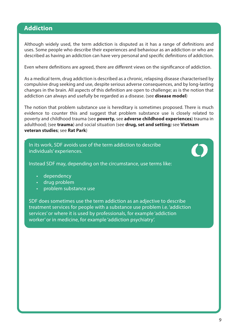### <span id="page-8-0"></span>**Addiction**

Although widely used, the term addiction is disputed as it has a range of definitions and uses. Some people who describe their experiences and behaviour as an addiction or who are described as having an addiction can have very personal and specific definitions of addiction.

Even where definitions are agreed, there are different views on the significance of addiction.

As a medical term, drug addiction is described as a chronic, relapsing disease characterised by compulsive drug seeking and use, despite serious adverse consequences, and by long-lasting changes in the brain. All aspects of this definition are open to challenge; as is the notion that addiction can always and usefully be regarded as a disease. (see **disease model**)

The notion that problem substance use is hereditary is sometimes proposed. There is much evidence to counter this and suggest that problem substance use is closely related to poverty and childhood trauma (see **poverty,** see **adverse childhood experiences**) trauma in adulthood; (see **trauma**) and social situation (see **drug, set and setting;** see **Vietnam veteran studies**; see **Rat Park**)

In recent years popular and medical definitions of addictions to addiction  $\mathbf{r}_i$ In its work, SDF avoids use of the term addiction to describe<br>In its work, SDF avoids use of the term addiction to describe individuals' experiences.

Some people view notions of addiction and specifically the term addiction as a diagnosis as **Instead SDF may, depending on the circumstance, use terms like:** 

- In some circumstances, the word **dependency**, which can be more accurately defined, may dependency
- be more appropriate than addiction. In other instances, the term **problem drug use** may be drug problem
- **Problem substance used and circumstances that are sometimes involved are sometimes involved and circumstances in**

SDF does sometimes use the term addiction as an adjective to describe treatment services for people with a substance use problem i.e. 'addiction services' or where it is used by professionals, for example 'addiction worker' or in medicine, for example 'addiction psychiatry'.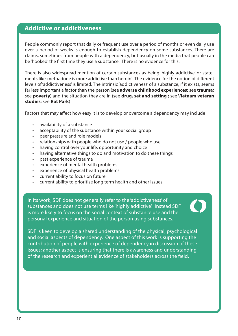### <span id="page-9-0"></span>**Addictive or addictiveness**

People commonly report that daily or frequent use over a period of months or even daily use over a period of weeks is enough to establish dependency on some substances. There are claims, sometimes from people with a dependency, but usually in the media that people can be 'hooked' the first time they use a substance. There is no evidence for this.

There is also widespread mention of certain substances as being 'highly addictive' or statements like 'methadone is more addictive than heroin'. The evidence for the notion of different levels of 'addictiveness' is limited. The intrinsic 'addictiveness' of a substance, if it exists, seems far less important a factor than the person (see **adverse childhood experiences;** see **trauma;** see **poverty**) and the situation they are in (see **drug, set and setting ;** see V**ietnam veteran studies**; see **Rat Park**)

Factors that may affect how easy it is to develop or overcome a dependency may include

- availability of a substance
- acceptability of the substance within your social group
- peer pressure and role models
- relationships with people who do not use / people who use
- having control over your life, opportunity and choice
- having alternative things to do and motivation to do these things
- past experience of trauma
- experience of mental health problems
- experience of physical health problems
- current ability to focus on future
- current ability to prioritise long term health and other issues

In its work, SDF does not generally refer to the 'addictiveness' of substances and does not use terms like 'highly addictive'. Instead SDF is more likely to focus on the social context of substance use and the personal experience and situation of the person using substances.



SDF is keen to develop a shared understanding of the physical, psychological and social aspects of dependency. One aspect of this work is supporting the contribution of people with experience of dependency in discussion of these issues; another aspect is ensuring that there is awareness and understanding of the research and experiential evidence of stakeholders across the field.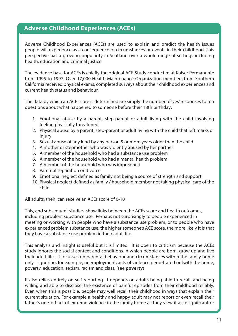### <span id="page-10-0"></span>**Adverse Childhood Experiences (ACEs)**

Adverse Childhood Experiences (ACEs) are used to explain and predict the health issues people will experience as a consequence of circumstances or events in their childhood. This perspective has a growing popularity in Scotland over a whole range of settings including health, education and criminal justice.

The evidence base for ACEs is chiefly the original ACE Study conducted at Kaiser Permanente from 1995 to 1997. Over 17,000 Health Maintenance Organization members from Southern California received physical exams, completed surveys about their childhood experiences and current health status and behaviour.

The data by which an ACE score is determined are simply the number of 'yes' responses to ten questions about what happened to someone before their 18th birthday:

- 1. Emotional abuse by a parent, step-parent or adult living with the child involving feeling physically threatened
- 2. Physical abuse by a parent, step-parent or adult living with the child that left marks or injury
- 3. Sexual abuse of any kind by any person 5 or more years older than the child
- 4. A mother or stepmother who was violently abused by her partner
- 5. A member of the household who had a substance use problem
- 6. A member of the household who had a mental health problem
- 7. A member of the household who was imprisoned
- 8. Parental separation or divorce
- 9. Emotional neglect defined as family not being a source of strength and support
- 10. Physical neglect defined as family / household member not taking physical care of the child

All adults, then, can receive an ACEs score of 0-10

This, and subsequent studies, show links between the ACEs score and health outcomes, including problem substance use. Perhaps not surprisingly to people experienced in meeting or working with people who have a substance use problem, or to people who have experienced problem substance use, the higher someone's ACE score, the more likely it is that they have a substance use problem in their adult life.

This analysis and insight is useful but it is limited. It is open to criticism because the ACEs study ignores the social context and conditions in which people are born, grow up and live their adult life. It focusses on parental behaviour and circumstances within the family home only – ignoring, for example, unemployment, acts of violence perpetrated outwith the home, poverty, education, sexism, racism and class. (see **poverty**)

It also relies entirely on self-reporting. It depends on adults being able to recall, and being willing and able to disclose, the existence of painful episodes from their childhood reliably. Even when this is possible, people may well recall their childhood in ways that explain their current situation. For example a healthy and happy adult may not report or even recall their father's one-off act of extreme violence in the family home as they view it as insignificant or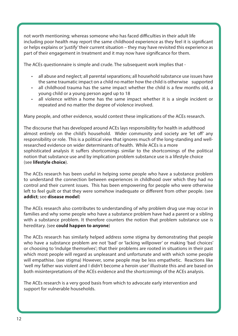not worth mentioning; whereas someone who has faced difficulties in their adult life including poor health may report the same childhood experience as they feel it is significant or helps explains or 'justify' their current situation – they may have revisited this experience as part of their engagement in treatment and it may now have significance for them.

The ACEs questionnaire is simple and crude. The subsequent work implies that -

- all abuse and neglect; all parental separations; all household substance use issues have the same traumatic impact on a child no matter how the child is otherwise supported
- all childhood trauma has the same impact whether the child is a few months old, a young child or a young person aged up to 18
- all violence within a home has the same impact whether it is a single incident or repeated and no matter the degree of violence involved.

Many people, and other evidence, would contest these implications of the ACEs research.

The discourse that has developed around ACEs lays responsibility for health in adulthood almost entirely on the child's household. Wider community and society are 'let off' any responsibility or role. This is a political view that ignores much of the long-standing and wellresearched evidence on wider determinants of health. While ACEs is a more sophisticated analysis it suffers shortcomings similar to the shortcomings of the political notion that substance use and by implication problem substance use is a lifestyle choice (see **lifestyle choice**).

The ACEs research has been useful in helping some people who have a substance problem to understand the connection between experiences in childhood over which they had no control and their current issues. This has been empowering for people who were otherwise left to feel guilt or that they were somehow inadequate or different from other people. (see **addict**; see **disease model**)

The ACEs research also contributes to understanding of why problem drug use may occur in families and why some people who have a substance problem have had a parent or a sibling with a substance problem. It therefore counters the notion that problem substance use is hereditary. (see **could happen to anyone**)

The ACEs research has similarly helped address some stigma by demonstrating that people who have a substance problem are not 'bad' or 'lacking willpower' or making 'bad choices' or choosing to 'indulge themselves'; that their problems are rooted in situations in their past which most people will regard as unpleasant and unfortunate and with which some people will empathise. (see stigma) However, some people may be less empathetic. Reactions like 'well my father was violent and I didn't become a heroin user' illustrate this and are based on both misinterpretations of the ACEs evidence and the shortcomings of the ACEs analysis.

The ACEs research is a very good basis from which to advocate early intervention and support for vulnerable households.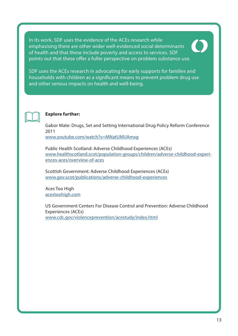In its work, SDF uses the evidence of the ACEs research while emphasising there are other wider well-evidenced social determinants of health and that these include poverty and access to services. SDF points out that these offer a fuller perspective on problem substance use.





#### **Explore further:**

Gabor Mate: Drugs, Set and Setting International Drug Policy Reform Conference 2011

[www.youtube.com/watch?v=MNatUMUAmxg](https://www.youtube.com/watch?v=MNatUMUAmxg)

Public Health Scotland: Adverse Childhood Experiences (ACEs) [www.healthscotland.scot/population-groups/children/adverse-childhood-experi](http://www.healthscotland.scot/population-groups/children/adverse-childhood-experiences-aces/overvie)[ences-aces/overview-of-aces](http://www.healthscotland.scot/population-groups/children/adverse-childhood-experiences-aces/overvie)

Scottish Government: Adverse Childhood Experiences (ACEs) [www.gov.scot/publications/adverse-childhood-experiences](https://www.gov.scot/publications/adverse-childhood-experiences/ )

Aces Too High [acestoohigh.com](https://acestoohigh.com)

US Government Centers For Disease Control and Prevention: Adverse Childhood Experiences (ACEs) [www.cdc.gov/violenceprevention/acestudy/index.html](https://www.cdc.gov/violenceprevention/acestudy/index.html)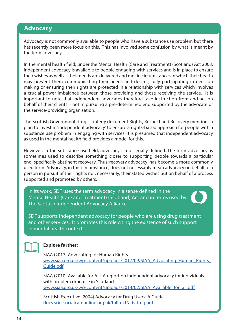### <span id="page-13-0"></span>**Advocacy**

Advocacy is not commonly available to people who have a substance use problem but there has recently been more focus on this. This has involved some confusion by what is meant by the term advocacy.

In the mental health field, under the Mental Health (Care and Treatment) (Scotland) Act 2003, independent advocacy is available to people engaging with services and is in place to ensure their wishes as well as their needs are delivered and met in circumstances in which their health may prevent them communicating their needs and desires, fully participating in decision making or ensuring their rights are protected in a relationship with services which involves a crucial power imbalance between those providing and those receiving the service. It is important to note that independent advocates therefore take instruction from and act on behalf of their clients – not in pursuing a pre-determined end supported by the advocate or the service-providing organisation.

The Scottish Government drugs strategy document Rights, Respect and Recovery mentions a plan to invest in 'independent advocacy' to ensure a rights-based approach for people with a substance use problem in engaging with services. It is presumed that independent advocacy as used in the mental health field provides a model for this.

However, in the substance use field, advocacy is not legally defined. The term 'advocacy' is sometimes used to describe something closer to supporting people towards a particular end, specifically abstinent recovery. Thus 'recovery advocacy' has become a more commonly used term. Advocacy, in this circumstance, does not necessarily mean advocacy on behalf of a person in pursuit of their rights nor, necessarily, their stated wishes but on behalf of a process supported and promoted by others.

In its work, SDF uses the term advocacy in a sense defined in the Mental Health (Care and Treatment) (Scotland) Act and in terms used by The Scottish Independent Advocacy Alliance.



SDF supports independent advocacy for people who are using drug treatment and other services. It promotes this role citing the existence of such support in mental health contexts.



#### **Explore further:**

SIAA (2017) Advocating for Human Rights [www.siaa.org.uk/wp-content/uploads/2017/09/SIAA\\_Advocating\\_Human\\_Rights\\_](https://www.siaa.org.uk/wp-content/uploads/2017/09/SIAA_Advocating_Human_Rights_Guide.pdf) [Guide.pdf](https://www.siaa.org.uk/wp-content/uploads/2017/09/SIAA_Advocating_Human_Rights_Guide.pdf)

SIAA (2010) Available for All? A report on independent advocacy for individuals with problem drug use in Scotland [www.siaa.org.uk/wp-content/uploads/2014/02/SIAA\\_Available\\_for\\_all.pdf](https://www.siaa.org.uk/wp-content/uploads/2014/02/SIAA_Available_for_all.pdf)

Scottish Executive (2004) Advocacy for Drug Users: A Guide [docs.scie-socialcareonline.org.uk/fulltext/advdrug.pdf](http://docs.scie-socialcareonline.org.uk/fulltext/advdrug.pdf )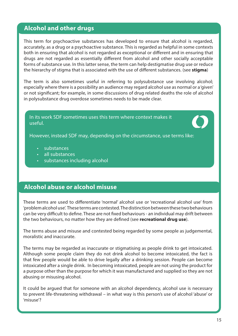### <span id="page-14-0"></span>**Alcohol and other drugs**

This term for psychoactive substances has developed to ensure that alcohol is regarded, accurately, as a drug or a psychoactive substance. This is regarded as helpful in some contexts both in ensuring that alcohol is not regarded as exceptional or different and in ensuring that drugs are not regarded as essentially different from alcohol and other socially acceptable forms of substance use. In this latter sense, the term can help destigmatise drug use or reduce the hierarchy of stigma that is associated with the use of different substances. (see **stigma**)

The term is also sometimes useful in referring to polysubstance use involving alcohol; especially where there is a possibility an audience may regard alcohol use as normal or a 'given' or not significant; for example, in some discussions of drug related deaths the role of alcohol in polysubstance drug overdose sometimes needs to be made clear.

In its work SDF sometimes uses this term where context makes it useful.



However, instead SDF may, depending on the circumstance, use terms like:

- substances
- all substances
- substances including alcohol

### **Alcohol abuse or alcohol misuse**

These terms are used to differentiate 'normal' alcohol use or 'recreational alcohol use' from 'problem alcohol use'. These terms are contested. The distinction between these two behaviours can be very difficult to define. These are not fixed behaviours - an individual may drift between the two behaviours, no matter how they are defined (see **recreational drug use**).

The terms abuse and misuse and contested being regarded by some people as judgemental, moralistic and inaccurate.

The terms may be regarded as inaccurate or stigmatising as people drink to get intoxicated. Although some people claim they do not drink alcohol to become intoxicated, the fact is that few people would be able to drive legally after a drinking session. People can become intoxicated after a single drink. In becoming intoxicated, people are not using the product for a purpose other than the purpose for which it was manufactured and supplied so they are not abusing or misusing alcohol.

It could be argued that for someone with an alcohol dependency, alcohol use is necessary to prevent life-threatening withdrawal – in what way is this person's use of alcohol 'abuse' or 'misuse'?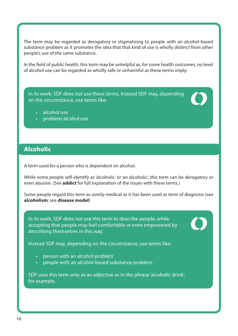<span id="page-15-0"></span>The term may be regarded as derogatory or stigmatising to people with an alcohol-based substance problem as it promotes the idea that that kind of use is wholly distinct from other people's use of the same substance.

In the field of public health, this term may be unhelpful as, for some health outcomes, no level of alcohol use can be regarded as wholly safe or unharmful as these terms imply.

In its work, SDF does not use these terms. Instead SDF may, depending on the circumstance, use terms like:

- alcohol use
- problem alcohol use

### **Alcoholic**

A term used for a person who is dependent on alcohol.

While some people self-identify as 'alcoholic' or 'an alcoholic', this term can be derogatory or even abusive. (See **addict** for full explanation of the issues with these terms.)

Some people regard this term as overly-medical as it has been used as term of diagnosis (see **alcoholism**; see **disease model**)

In its work, SDF does not use this term to describe people, while accepting that people may feel comfortable or even empowered by describing themselves in this way.

Instead SDF may, depending on the circumstance, use terms like:

- person with an alcohol problem
- people with an alcohol-based substance problem.

SDF uses this term only as an adjective as in the phrase 'alcoholic drink', for example.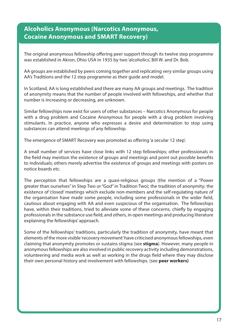### <span id="page-16-0"></span>**Alcoholics Anonymous (Narcotics Anonymous, Cocaine Anonymous and SMART Recovery)**

The original anonymous fellowship offering peer support through its twelve step programme was established in Akron, Ohio USA in 1935 by two 'alcoholics', Bill W. and Dr. Bob.

AA groups are established by peers coming together and replicating very similar groups using AA's Traditions and the 12 step programme as their guide and model.

In Scotland, AA is long established and there are many AA groups and meetings. The tradition of anonymity means that the number of people involved with fellowships, and whether that number is increasing or decreasing, are unknown.

Similar fellowships now exist for users of other substances – Narcotics Anonymous for people with a drug problem and Cocaine Anonymous for people with a drug problem involving stimulants. In practice, anyone who expresses a desire and determination to stop using substances can attend meetings of any fellowship.

The emergence of SMART Recovery was promoted as offering 'a secular 12 step'.

A small number of services have close links with 12 step fellowships; other professionals in the field may mention the existence of groups and meetings and point out possible benefits to individuals; others merely advertise the existence of groups and meetings with posters on notice boards etc.

The perception that fellowships are a quasi-religious groups (the mention of a "Power greater than ourselves" in Step Two or "God" in Tradition Two); the tradition of anonymity; the existence of 'closed' meetings which exclude non-members and the self-regulating nature of the organisation have made some people, including some professionals in the wider field, cautious about engaging with AA and even suspicious of the organisation. The fellowships have, within their traditions, tried to alleviate some of these concerns, chiefly by engaging professionals in the substance use field, and others, in open meetings and producing literature explaining the fellowships' approach.

Some of the fellowships' traditions, particularly the tradition of anonymity, have meant that elements of the more visible 'recovery movement' have criticised anonymous fellowships, even claiming that anonymity promotes or sustains stigma (see **stigma**). However, many people in anonymous fellowships are also involved in public recovery activity including demonstrations, volunteering and media work as well as working in the drugs field where they may disclose their own personal history and involvement with fellowships. (see **peer workers)**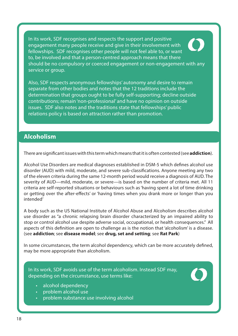<span id="page-17-0"></span>In its work, SDF recognises and respects the support and positive engagement many people receive and give in their involvement with fellowships. SDF recognises other people will not feel able to, or want to, be involved and that a person-centred approach means that there should be no compulsory or coerced engagement or non-engagement with any service or group.

Also, SDF respects anonymous fellowships' autonomy and desire to remain separate from other bodies and notes that the 12 traditions include the determination that groups ought to be fully self-supporting; decline outside contributions; remain 'non-professional' and have no opinion on outside issues. SDF also notes and the traditions state that fellowships' public relations policy is based on attraction rather than promotion.

### **Alcoholism**

There are significant issues with this term which means that it is often contested (see **addiction**).

Alcohol Use Disorders are medical diagnoses established in DSM-5 which defines alcohol use disorder (AUD) with mild, moderate, and severe sub-classifications. Anyone meeting any two of the eleven criteria during the same 12-month period would receive a diagnosis of AUD. The severity of AUD—mild, moderate, or severe—is based on the number of criteria met. All 11 criteria are self-reported situations or behaviours such as 'having spent a lot of time drinking or getting over the after-effects' or 'having times when you drank more or longer than you intended'

A body such as the US National Institute of Alcohol Abuse and Alcoholism describes alcohol use disorder as "a chronic relapsing brain disorder characterized by an impaired ability to stop or control alcohol use despite adverse social, occupational, or health consequences." All aspects of this definition are open to challenge as is the notion that 'alcoholism' is a disease. (see **addiction**; see **disease model**; see **drug, set and setting**; see **Rat Park**)

In some circumstances, the term alcohol dependency, which can be more accurately defined, may be more appropriate than alcoholism.

In its work, SDF avoids use of the term alcoholism. Instead SDF may, depending on the circumstance, use terms like:

- alcohol dependency
- problem alcohol use
- problem substance use involving alcohol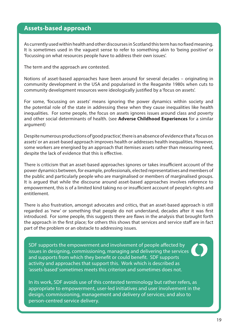### <span id="page-18-0"></span>**Assets-based approach**

As currently used within health and other discourses in Scotland this term has no fixed meaning. It is sometimes used in the vaguest sense to refer to something akin to 'being positive' or 'focussing on what resources people have to address their own issues'.

The term and the approach are contested.

Notions of asset-based approaches have been around for several decades – originating in community development in the USA and popularised in the Reaganite 1980s when cuts to community development resources were ideologically justified by a 'focus on assets'.

For some, 'focussing on assets' means ignoring the power dynamics within society and the potential role of the state in addressing these when they cause inequalities like health inequalities. For some people, the focus on assets ignores issues around class and poverty and other social determinants of health. (see **Adverse Childhood Experiences** for a similar argument)

Despite numerous productions of 'good practice', there is an absence of evidence that a 'focus on assets' or an asset-based approach improves health or addresses health inequalities. However, some workers are energised by an approach that itemises assets rather than measuring need, despite the lack of evidence that this is effective.

There is criticism that an asset-based approaches ignores or takes insufficient account of the power dynamics between, for example, professionals, elected representatives and members of the public and particularly people who are marginalised or members of marginalised groups. It is argued that while the discourse around asset-based approaches involves reference to empowerment, this is of a limited kind taking no or insufficient account of people's rights and entitlement.

There is also frustration, amongst advocates and critics, that an asset-based approach is still regarded as 'new' or something that people do not understand, decades after it was first introduced. For some people, this suggests there are flaws in the analysis that brought forth the approach in the first place; for others this shows that services and service staff are in fact part of the problem or an obstacle to addressing issues.

SDF supports the empowerment and involvement of people affected by issues in designing, commissioning, managing and delivering the services and supports from which they benefit or could benefit. SDF supports activity and approaches that support this. Work which is described as 'assets-based' sometimes meets this criterion and sometimes does not.

In its work, SDF avoids use of this contested terminology but rather refers, as appropriate to empowerment, user-led initiatives and user involvement in the design, commissioning, management and delivery of services; and also to person-centred service delivery.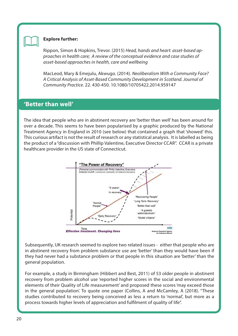<span id="page-19-0"></span>

#### **Explore further:**

Rippon, Simon & Hopkins, Trevor. (2015) Head, hands and heart: asset-based approaches in health care; A review of the conceptual evidence and case studies of asset-based approaches in health, care and wellbeing

MacLeod, Mary & Emejulu, Akwugo. (2014). Neoliberalism With a Community Face? A Critical Analysis of Asset-Based Community Development in Scotland. Journal of Community Practice. 22. 430-450. 10.1080/10705422.2014.959147

### **'Better than well'**

The idea that people who are in abstinent recovery are 'better than well' has been around for over a decade. This seems to have been popularised by a graphic produced by the National Treatment Agency in England in 2010 (see below) that contained a graph that 'showed' this. This curious artifact is not the result of research or any statistical analysis. It is labelled as being the product of a "discussion with Phillip Valentine, Executive Director CCAR". CCAR is a private healthcare provider in the US state of Connecticut.



Subsequently, UK research seemed to explore two related issues - either that people who are in abstinent recovery from problem substance use are 'better' than they would have been if they had never had a substance problem or that people in this situation are 'better' than the general population.

For example, a study in Birmingham (Hibbert and Best, 2011) of 53 older people in abstinent recovery from problem alcohol use 'reported higher scores in the social and environmental elements of their Quality of Life measurement' and proposed these scores 'may exceed those in the general population'. To quote one paper (Collins, A and McCamley, A (2018). "These studies contributed to recovery being conceived as less a return to 'normal', but more as a process towards higher levels of appreciation and fulfilment of quality of life".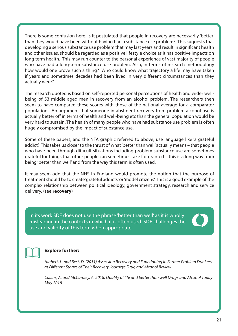There is some confusion here. Is it postulated that people in recovery are necessarily 'better' than they would have been without having had a substance use problem? This suggests that developing a serious substance use problem that may last years and result in significant health and other issues, should be regarded as a positive lifestyle choice as it has positive impacts on long term health. This may run counter to the personal experience of vast majority of people who have had a long-term substance use problem. Also, in terms of research methodology how would one prove such a thing? Who could know what trajectory a life may have taken if years and sometimes decades had been lived in very different circumstances than they actually were?

The research quoted is based on self-reported personal perceptions of health and wider wellbeing of 53 middle aged men in recovery from an alcohol problem. The researchers then seem to have compared these scores with those of the national average for a comparator population. An argument that someone in abstinent recovery from problem alcohol use is actually better off in terms of health and well-being etc than the general population would be very hard to sustain. The health of many people who have had substance use problem is often hugely compromised by the impact of substance use.

Some of these papers, and the NTA graphic referred to above, use language like 'a grateful addict'. This takes us closer to the thrust of what 'better than well' actually means – that people who have been through difficult situations including problem substance use are sometimes grateful for things that other people can sometimes take for granted – this is a long way from being 'better than well' and from the way this term is often used.

It may seem odd that the NHS in England would promote the notion that the purpose of treatment should be to create 'grateful addicts' or 'model citizens'. This is a good example of the complex relationship between political ideology, government strategy, research and service delivery. (see **recovery**)

In its work SDF does not use the phrase 'better than well' as it is wholly misleading in the contexts in which it is often used. SDF challenges the use and validity of this term when appropriate.



#### **Explore further:**

Hibbert, L. and Best, D. (2011) Assessing Recovery and Functioning in Former Problem Drinkers at Different Stages of Their Recovery Journeys Drug and Alcohol Review

Collins, A. and McCamley, A. 2018. Quality of life and better than well Drugs and Alcohol Today May 2018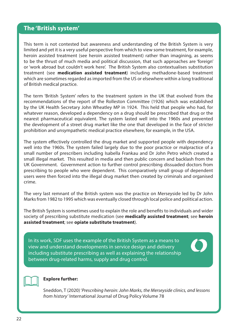### <span id="page-21-0"></span>**The 'British system'**

This term is not contested but awareness and understanding of the British System is very limited and yet it is a very useful perspective from which to view some treatment, for example, heroin assisted treatment (see heroin assisted treatment) rather than imagining, as seems to be the thrust of much media and political discussion, that such approaches are 'foreign' or 'work abroad but couldn't work here'. The British System also contextualises substitution treatment (see **medication assisted treatment**) including methadone-based treatment which are sometimes regarded as imported from the US or elsewhere within a long traditional of British medical practice.

The term 'British System' refers to the treatment system in the UK that evolved from the recommendations of the report of the Rolleston Committee (1926) which was established by the UK Health Secretary John Wheatley MP in 1924. This held that people who had, for whatever reason, developed a dependency on a drug should be prescribed that drug or the nearest pharmaceutical equivalent. The system lasted well into the 1960s and prevented the development of a street drug market like the one that developed in the face of stricter prohibition and unsympathetic medical practice elsewhere, for example, in the USA.

The system effectively controlled the drug market and supported people with dependency well into the 1960s. The system failed largely due to the poor practice or malpractice of a small number of prescribers including Isabella Frankau and Dr John Petro which created a small illegal market. This resulted in media and then public concern and backlash from the UK Government. Government action to further control prescribing dissuaded doctors from prescribing to people who were dependent. This comparatively small group of dependent users were then forced into the illegal drug market then created by criminals and organised crime.

The very last remnant of the British system was the practice on Merseyside led by Dr John Marks from 1982 to 1995 which was eventually closed through local police and political action.

The British System is sometimes used to explain the role and benefits to individuals and wider society of prescribing substitute medication (see **medically assisted treatment**; see **heroin assisted treatment**; see **opiate substitute treatment**).

In its work, SDF uses the example of the British System as a means to view and understand developments in service design and delivery including substitute prescribing as well as explaining the relationship between drug-related harms, supply and drug control.





#### **Explore further:**

Sneddon, T (2020) 'Prescribing heroin: John Marks, the Merseyside clinics, and lessons from history' International Journal of Drug Policy Volume 78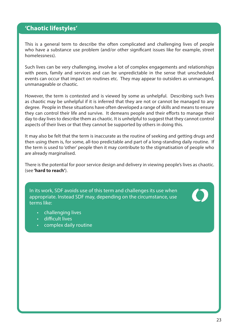### <span id="page-22-0"></span>**'Chaotic lifestyles'**

This is a general term to describe the often complicated and challenging lives of people who have a substance use problem (and/or other significant issues like for example, street homelessness).

Such lives can be very challenging, involve a lot of complex engagements and relationships with peers, family and services and can be unpredictable in the sense that unscheduled events can occur that impact on routines etc. They may appear to outsiders as unmanaged, unmanageable or chaotic.

However, the term is contested and is viewed by some as unhelpful. Describing such lives as chaotic may be unhelpful if it is inferred that they are not or cannot be managed to any degree. People in these situations have often developed a range of skills and means to ensure they can control their life and survive. It demeans people and their efforts to manage their day to day lives to describe them as chaotic. It is unhelpful to suggest that they cannot control aspects of their lives or that they cannot be supported by others in doing this.

It may also be felt that the term is inaccurate as the routine of seeking and getting drugs and then using them is, for some, all-too predictable and part of a long-standing daily routine. If the term is used to 'other' people then it may contribute to the stigmatisation of people who are already marginalised.

There is the potential for poor service design and delivery in viewing people's lives as chaotic. (see **'hard to reach'**).

In its work, SDF avoids use of this term and challenges its use when appropriate. Instead SDF may, depending on the circumstance, use terms like:

- challenging lives
- difficult lives
- complex daily routine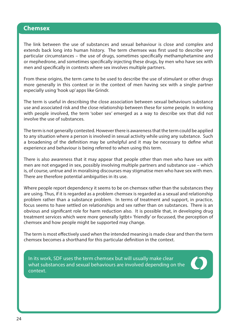#### <span id="page-23-0"></span>**Chemsex**

The link between the use of substances and sexual behaviour is close and complex and extends back long into human history. The term chemsex was first used to describe very particular circumstances – the use of drugs, sometimes specifically methamphetamine and or mephedrone, and sometimes specifically injecting these drugs, by men who have sex with men and specifically in contexts where sex involves multiple partners.

From these origins, the term came to be used to describe the use of stimulant or other drugs more generally in this context or in the context of men having sex with a single partner especially using 'hook up' apps like Grindr.

The term is useful in describing the close association between sexual behaviours substance use and associated risk and the close relationship between these for some people. In working with people involved, the term 'sober sex' emerged as a way to describe sex that did not involve the use of substances.

The term is not generally contested. However there is awareness that the term could be applied to any situation where a person is involved in sexual activity while using any substance. Such a broadening of the definition may be unhelpful and it may be necessary to define what experience and behaviour is being referred to when using this term.

There is also awareness that it may appear that people other than men who have sex with men are not engaged in sex, possibly involving multiple partners and substance use – which is, of course, untrue and in moralising discourses may stigmatise men who have sex with men. There are therefore potential ambiguities in its use.

Where people report dependency it seems to be on chemsex rather than the substances they are using. Thus, if it is regarded as a problem chemsex is regarded as a sexual and relationship problem rather than a substance problem. In terms of treatment and support, in practice, focus seems to have settled on relationships and sex rather than on substances. There is an obvious and significant role for harm reduction also. It is possible that, in developing drug treatment services which were more generally lgtbt+ 'friendly' or focussed, the perception of chemsex and how people might be supported may change.

The term is most effectively used when the intended meaning is made clear and then the term chemsex becomes a shorthand for this particular definition in the context.

In its work, SDF uses the term chemsex but will usually make clear what substances and sexual behaviours are involved depending on the context.

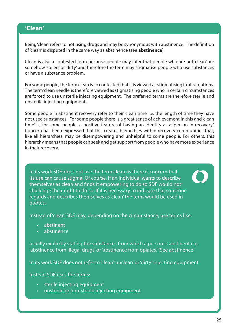### <span id="page-24-0"></span>**'Clean'**

Being 'clean' refers to not using drugs and may be synonymous with abstinence. The definition of 'clean' is disputed in the same way as abstinence (see **abstinence**).

Clean is also a contested term because people may infer that people who are not 'clean' are somehow 'soiled' or 'dirty' and therefore the term may stigmatise people who use substances or have a substance problem.

For some people, the term clean is so contested that it is viewed as stigmatising in all situations. The term 'clean needle' is therefore viewed as stigmatising people who in certain circumstances are forced to use unsterile injecting equipment. The preferred terms are therefore sterile and unsterile injecting equipment.

Some people in abstinent recovery refer to their 'clean time' i.e. the length of time they have not used substances. For some people there is a great sense of achievement in this and 'clean time' is, for some people, a positive feature of having an identity as a 'person in recovery'. Concern has been expressed that this creates hierarchies within recovery communities that, like all hierarchies, may be disempowering and unhelpful to some people. For others, this hierarchy means that people can seek and get support from people who have more experience in their recovery.

In its work SDF, does not use the term clean as there is concern that its use can cause stigma. Of course, if an individual wants to describe themselves as clean and finds it empowering to do so SDF would not challenge their right to do so. If it is necessary to indicate that someone regards and describes themselves as 'clean' the term would be used in quotes.

Instead of 'clean' SDF may, depending on the circumstance, use terms like:

- abstinent
- abstinence

usually explicitly stating the substances from which a person is abstinent e.g. 'abstinence from illegal drugs' or 'abstinence from opiates.' (See abstinence)

In its work SDF does not refer to 'clean' 'unclean' or 'dirty' injecting equipment

Instead SDF uses the terms:

- sterile injecting equipment
- unsterile or non-sterile injecting equipment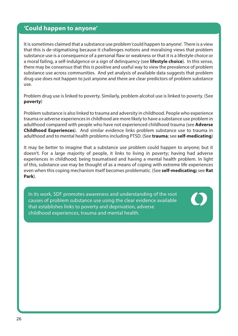### <span id="page-25-0"></span>**'Could happen to anyone'**

It is sometimes claimed that a substance use problem 'could happen to anyone'. There is a view that this is de-stigmatising because it challenges notions and moralising views that problem substance use is a consequence of a personal flaw or weakness or that it is a lifestyle choice or a moral failing, a self-indulgence or a sign of delinquency (see **lifestyle choice**). In this sense, there may be consensus that this is positive and useful way to view the prevalence of problem substance use across communities. And yet analysis of available data suggests that problem drug use does not happen to just anyone and there are clear predictors of problem substance use.

Problem drug use is linked to poverty. Similarly, problem alcohol use is linked to poverty. (See **poverty**)

Problem substance is also linked to trauma and adversity in childhood. People who experience trauma or adverse experiences in childhood are more likely to have a substance use problem in adulthood compared with people who have not experienced childhood trauma (see **Adverse Childhood Experiences**). And similar evidence links problem substance use to trauma in adulthood and to mental health problems including PTSD. (See **trauma**; see **self-medicating**)

It may be better to imagine that a substance use problem could happen to anyone; but it doesn't. For a large majority of people, it links to living in poverty; having had adverse experiences in childhood; being traumatised and having a mental health problem. In light of this, substance use may be thought of as a means of coping with extreme life experiences even when this coping mechanism itself becomes problematic. (See **self-medicating;** see **Rat Park**).

In its work, SDF promotes awareness and understanding of the root causes of problem substance use using the clear evidence available that establishes links to poverty and deprivation, adverse childhood experiences, trauma and mental health.

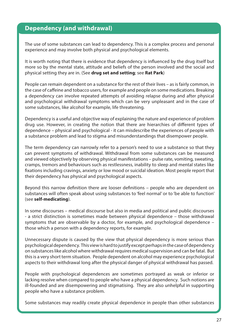### <span id="page-26-0"></span>**Dependency (and withdrawal)**

The use of some substances can lead to dependency. This is a complex process and personal experience and may involve both physical and psychological elements.

It is worth noting that there is evidence that dependency is influenced by the drug itself but more so by the mental state, attitude and beliefs of the person involved and the social and physical setting they are in. (See **drug set and setting**; see **Rat Park**)

People can remain dependent on a substance for the rest of their lives – as is fairly common, in the case of caffeine and tobacco users, for example and people on some medications. Breaking a dependency can involve repeated attempts of avoiding relapse during and after physical and psychological withdrawal symptoms which can be very unpleasant and in the case of some substances, like alcohol for example, life threatening.

Dependency is a useful and objective way of explaining the nature and experience of problem drug use. However, in creating the notion that there are hierarchies of different types of dependence – physical and psychological - it can misdescribe the experiences of people with a substance problem and lead to stigma and misunderstandings that disempower people.

The term dependency can narrowly refer to a person's need to use a substance so that they can prevent symptoms of withdrawal. Withdrawal from some substances can be measured and viewed objectively by observing physical manifestations – pulse rate, vomiting, sweating, cramps, tremors and behaviours such as restlessness, inability to sleep and mental states like fixations including cravings, anxiety or low mood or suicidal ideation. Most people report that their dependency has physical and psychological aspects.

Beyond this narrow definition there are looser definitions – people who are dependent on substances will often speak about using substances to 'feel normal' or to 'be able to function' (see **self-medicating**).

In some discourses – medical discourse but also in media and political and public discourses - a strict distinction is sometimes made between physical dependence – those withdrawal symptoms that are observable by a doctor, for example, and psychological dependence – those which a person with a dependency reports, for example.

Unnecessary dispute is caused by the view that physical dependency is more serious than psychological dependency. This view is hard to justify except perhaps in the case of dependency on substances like alcohol where withdrawal requires medical supervision and can be fatal. But this is a very short term situation. People dependent on alcohol may experience psychological aspects to their withdrawal long after the physical danger of physical withdrawal has passed.

People with psychological dependences are sometimes portrayed as weak or inferior or lacking resolve when compared to people who have a physical dependency. Such notions are ill-founded and are disempowering and stigmatising. They are also unhelpful in supporting people who have a substance problem.

Some substances may readily create physical dependence in people than other substances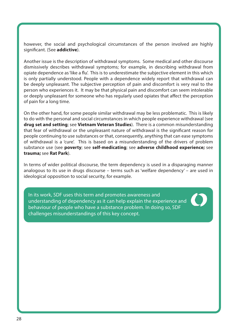however, the social and psychological circumstances of the person involved are highly significant. (See **addictive**).

Another issue is the description of withdrawal symptoms. Some medical and other discourse dismissively describes withdrawal symptoms; for example, in describing withdrawal from opiate dependence as 'like a flu'. This is to underestimate the subjective element in this which is only partially understood. People with a dependence widely report that withdrawal can be deeply unpleasant. The subjective perception of pain and discomfort is very real to the person who experiences it. It may be that physical pain and discomfort can seem intolerable or deeply unpleasant for someone who has regularly used opiates that affect the perception of pain for a long time.

On the other hand, for some people similar withdrawal may be less problematic. This is likely to do with the personal and social circumstances in which people experience withdrawal (see **drug set and setting**; see **Vietnam Veteran Studies**). There is a common misunderstanding that fear of withdrawal or the unpleasant nature of withdrawal is the significant reason for people continuing to use substances or that, consequently, anything that can ease symptoms of withdrawal is a 'cure'. This is based on a misunderstanding of the drivers of problem substance use (see **poverty**; see **self-medicating**; see **adverse childhood experience;** see **trauma;** see **Rat Park**).

In terms of wider political discourse, the term dependency is used in a disparaging manner analogous to its use in drugs discourse – terms such as 'welfare dependency' – are used in ideological opposition to social security, for example.

In its work, SDF uses this term and promotes awareness and understanding of dependency as it can help explain the experience and behaviour of people who have a substance problem. In doing so, SDF challenges misunderstandings of this key concept.

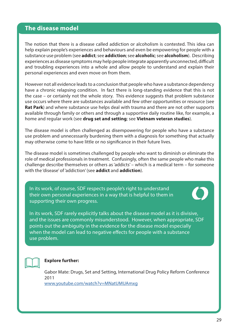### <span id="page-28-0"></span>**The disease model**

The notion that there is a disease called addiction or alcoholism is contested. This idea can help explain people's experiences and behaviours and even be empowering for people with a substance use problem (see **addict**; see **addiction**; see **alcoholic**; see **alcoholism**). Describing experiences as disease symptoms may help people integrate apparently unconnected, difficult and troubling experiences into a whole and allow people to understand and explain their personal experiences and even move on from them.

However not all evidence leads to a conclusion that people who have a substance dependency have a chronic relapsing condition. In fact there is long-standing evidence that this is not the case – or certainly not the whole story. This evidence suggests that problem substance use occurs where there are substances available and few other opportunities or resource (see **Rat Park**) and where substance use helps deal with trauma and there are not other supports available through family or others and through a supportive daily routine like, for example, a home and regular work (see **drug set and setting**; see **Vietnam veteran studies**).

The disease model is often challenged as disempowering for people who have a substance use problem and unnecessarily burdening them with a diagnosis for something that actually may otherwise come to have little or no significance in their future lives.

The disease model is sometimes challenged by people who want to diminish or eliminate the role of medical professionals in treatment. Confusingly, often the same people who make this challenge describe themselves or others as 'addicts' – which is a medical term – for someone with the 'disease' of 'addiction' (see **addict** and **addiction**).

In its work, of course, SDF respects people's right to understand their own personal experiences in a way that is helpful to them in supporting their own progress.



In its work, SDF rarely explicitly talks about the disease model as it is divisive, and the issues are commonly misunderstood. However, when appropriate, SDF points out the ambiguity in the evidence for the disease model especially when the model can lead to negative effects for people with a substance use problem.



#### **Explore further:**

Gabor Mate: Drugs, Set and Setting, International Drug Policy Reform Conference 2011 [www.youtube.com/watch?v=MNatUMUAmxg](https://www.youtube.com/watch?v=MNatUMUAmxg)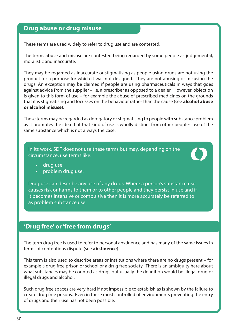### <span id="page-29-0"></span>**Drug abuse or drug misuse**

These terms are used widely to refer to drug use and are contested.

The terms abuse and misuse are contested being regarded by some people as judgemental, moralistic and inaccurate.

They may be regarded as inaccurate or stigmatising as people using drugs are not using the product for a purpose for which it was not designed. They are not abusing or misusing the drugs. An exception may be claimed if people are using pharmaceuticals in ways that goes against advice from the supplier – i.e. a prescriber as opposed to a dealer. However, objection is given to this form of use – for example the abuse of prescribed medicines on the grounds that it is stigmatising and focusses on the behaviour rather than the cause (see **alcohol abuse or alcohol misuse**).

These terms may be regarded as derogatory or stigmatising to people with substance problem as it promotes the idea that that kind of use is wholly distinct from other people's use of the same substance which is not always the case.

In its work, SDF does not use these terms but may, depending on the circumstance, use terms like:



- drug use
- problem drug use.

Drug use can describe any use of any drugs. Where a person's substance use causes risk or harms to them or to other people and they persist in use and if it becomes intensive or compulsive then it is more accurately be referred to as problem substance use.

### **'Drug free' or 'free from drugs'**

The term drug free is used to refer to personal abstinence and has many of the same issues in terms of contentious dispute (see **abstinence**).

This term is also used to describe areas or institutions where there are no drugs present – for example a drug free prison or school or a drug free society. There is an ambiguity here about what substances may be counted as drugs but usually the definition would be illegal drug or illegal drugs and alcohol.

Such drug free spaces are very hard if not impossible to establish as is shown by the failure to create drug free prisons. Even in these most controlled of environments preventing the entry of drugs and their use has not been possible.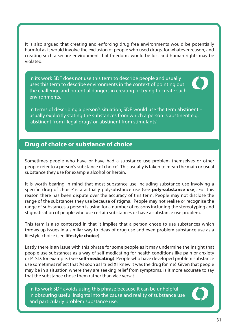<span id="page-30-0"></span>It is also argued that creating and enforcing drug free environments would be potentially harmful as it would involve the exclusion of people who used drugs, for whatever reason, and creating such a secure environment that freedoms would be lost and human rights may be violated.

In its work SDF does not use this term to describe people and usually uses this term to describe environments in the context of pointing out the challenge and potential dangers in creating or trying to create such environments.



In terms of describing a person's situation, SDF would use the term abstinent – usually explicitly stating the substances from which a person is abstinent e.g. 'abstinent from illegal drugs' or 'abstinent from stimulants'

### **Drug of choice or substance of choice**

Sometimes people who have or have had a substance use problem themselves or other people refer to a person's 'substance of choice'. This usually is taken to mean the main or usual substance they use for example alcohol or heroin.

It is worth bearing in mind that most substance use including substance use involving a specific 'drug of choice' is a actually polysubstance use (see **poly-substance use**). For this reason there has been dispute over the accuracy of this term. People may not disclose the range of the substances they use because of stigma. People may not realise or recognise the range of substances a person is using for a number of reasons including the stereotyping and stigmatisation of people who use certain substances or have a substance use problem.

This term is also contested in that it implies that a person chose to use substances which throws up issues in a similar way to ideas of drug use and even problem substance use as a lifestyle choice (see **lifestyle choice**).

Lastly there is an issue with this phrase for some people as it may undermine the insight that people use substances as a way of self-medicating for health conditions like pain or anxiety or PTSD, for example. (See **self-medicating**). People who have developed problem substance use sometimes reflect that 'As soon as I tried X I knew it was the drug for me'. Given that people may be in a situation where they are seeking relief from symptoms, is it more accurate to say that the substance chose them rather than vice versa?

In its work SDF avoids using this phrase because it can be unhelpful in obscuring useful insights into the cause and reality of substance use and particularly problem substance use.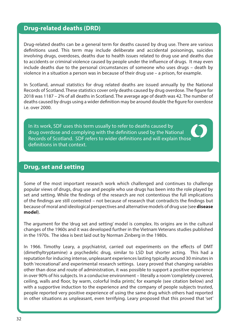### <span id="page-31-0"></span>**Drug-related deaths (DRD)**

Drug-related deaths can be a general term for deaths caused by drug use. There are various definitions used. This term may include deliberate and accidental poisonings, suicides involving drugs, overdoses, deaths due to health issues related to drug use and deaths due to accidents or criminal violence caused by people under the influence of drugs. It may even include deaths due to the personal circumstances of someone who uses drugs – death by violence in a situation a person was in because of their drug use – a prison, for example.

In Scotland, annual statistics for drug related deaths are issued annually by the National Records of Scotland. These statistics cover only deaths caused by drug overdose. The figure for 2018 was 1187 – 2% of all deaths in Scotland. The average age of death was 42. The number of deaths caused by drugs using a wider definition may be around double the figure for overdose i.e. over 2000.

In its work, SDF uses this term usually to refer to deaths caused by drug overdose and complying with the definition used by the National Records of Scotland. SDF refers to wider definitions and will explain those definitions in that context.

#### **Drug, set and setting**

Some of the most important research work which challenged and continues to challenge popular views of drugs, drug use and people who use drugs has been into the role played by set and setting. While the findings of the research are not contentious the full implications of the findings are still contested – not because of research that contradicts the findings but because of moral and ideological perspectives and alternative models of drug use (see **disease model**).

The argument for the 'drug set and setting' model is complex. Its origins are in the cultural changes of the 1960s and it was developed further in the Vietnam Veterans studies published in the 1970s. The idea is best laid out by Norman Zinberg in the 1980s.

In 1966. Timothy Leary, a psychiatrist, carried out experiments on the effects of DMT (dimethyltryptamine) a psychedelic drug, similar to LSD but shorter acting. This had a reputation for inducing intense, unpleasant experiences lasting typically around 30 minutes in both 'recreational' and experimental research settings. Leary proved that changing variables other than dose and route of administration, it was possible to support a positive experience in over 90% of his subjects. In a conducive environment – literally a room 'completely covered, ceiling, walls and floor, by warm, colorful India prints', for example (see citation below) and with a supportive induction to the experience and the company of people subjects trusted, people reported very positive experience of using the same drug which others had reported in other situations as unpleasant, even terrifying. Leary proposed that this proved that 'set'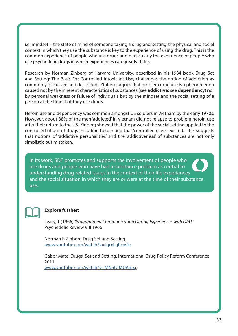i.e. mindset – the state of mind of someone taking a drug and 'setting' the physical and social context in which they use the substance is key to the experience of using the drug. This is the common experience of people who use drugs and particularly the experience of people who use psychedelic drugs in which experiences can greatly differ.

Research by Norman Zinberg of Harvard University, described in his 1984 book Drug Set and Setting: The Basis For Controlled Intoxicant Use, challenges the notion of addiction as commonly discussed and described. Zinberg argues that problem drug use is a phenomenon caused not by the inherent characteristics of substances (see **addictive;** see **dependency**) nor by personal weakness or failure of individuals but by the mindset and the social setting of a person at the time that they use drugs.

Heroin use and dependency was common amongst US soldiers in Vietnam by the early 1970s. However, about 88% of the men 'addicted' in Vietnam did not relapse to problem heroin use after their return to the US. Zinberg showed that the power of the social setting applied to the controlled of use of drugs including heroin and that 'controlled users' existed. This suggests that notions of 'addictive personalities' and the 'addictiveness' of substances are not only simplistic but mistaken.

In its work, SDF promotes and supports the involvement of people who use drugs and people who have had a substance problem as central to understanding drug-related issues in the context of their life experiences and the social situation in which they are or were at the time of their substance use.



#### **Explore further:**

Leary, T (1966) 'Programmed Communication During Experiences with DMT' Psychedelic Review VIII 1966

Norman E Zinberg Drug Set and Setting [www.youtube.com/watch?v=JgrxLqhcxOo](https://www.youtube.com/watch?v=JgrxLqhcxOo )

Gabor Mate: Drugs, Set and Setting, International Drug Policy Reform Conference 2011 [www.youtube.com/watch?v=MNatUMUAmxg](https://www.youtube.com/watch?v=MNatUMUAmx)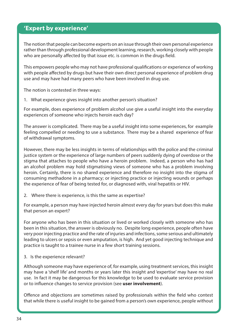### <span id="page-33-0"></span>**'Expert by experience'**

The notion that people can become experts on an issue through their own personal experience rather than through professional development learning, research, working closely with people who are personally affected by that issue etc. is common in the drugs field.

This empowers people who may not have professional qualifications or experience of working with people affected by drugs but have their own direct personal experience of problem drug use and may have had many peers who have been involved in drug use.

The notion is contested in three ways:

1. What experience gives insight into another person's situation?

For example, does experience of problem alcohol use give a useful insight into the everyday experiences of someone who injects heroin each day?

The answer is complicated. There may be a useful insight into some experiences, for example feeling compelled or needing to use a substance. There may be a shared experience of fear of withdrawal symptoms.

However, there may be less insights in terms of relationships with the police and the criminal justice system or the experience of large numbers of peers suddenly dying of overdose or the stigma that attaches to people who have a heroin problem. Indeed, a person who has had an alcohol problem may hold stigmatising views of someone who has a problem involving heroin. Certainly, there is no shared experience and therefore no insight into the stigma of consuming methadone in a pharmacy; or injecting practice or injecting wounds or perhaps the experience of fear of being tested for, or diagnosed with, viral hepatitis or HIV.

2. Where there is experience, is this the same as expertise?

For example, a person may have injected heroin almost every day for years but does this make that person an expert?

For anyone who has been in this situation or lived or worked closely with someone who has been in this situation, the answer is obviously no. Despite long experience, people often have very poor injecting practice and the rate of injuries and infections, some serious and ultimately leading to ulcers or sepsis or even amputation, is high. And yet good injecting technique and practice is taught to a trainee nurse in a few short training sessions.

3. Is the experience relevant?

Although someone may have experience of, for example, using treatment services, this insight may have a 'shelf life' and months or years later this insight and 'expertise' may have no real use. In fact it may be dangerous for this knowledge to be used to evaluate service provision or to influence changes to service provision (see **user involvement**).

Offence and objections are sometimes raised by professionals within the field who contest that while there is useful insight to be gained from a person's own experience, people without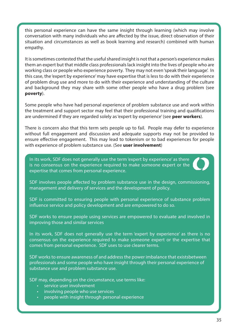this personal experience can have the same insight through learning (which may involve conversation with many individuals who are affected by the issue, direct observation of their situation and circumstances as well as book learning and research) combined with human empathy.

It is sometimes contested that the useful shared insight is not that a person's experience makes them an expert but that middle class professionals lack insight into the lives of people who are working class or people who experience poverty. They may not even 'speak their language'. In this case, the 'expert by experience' may have expertise that is less to do with their experience of problem drug use and more to do with their experience and understanding of the culture and background they may share with some other people who have a drug problem (see **poverty**).

Some people who have had personal experience of problem substance use and work within the treatment and support sector may feel that their professional training and qualifications are undermined if they are regarded solely as 'expert by experience' (see **peer workers**).

There is concern also that this term sets people up to fail. People may defer to experience without full engagement and discussion and adequate supports may not be provided to ensure effective engagement. This may lead to tokenism or to bad experiences for people with experience of problem substance use. (See **user involvement**)

In its work, SDF does not generally use the term 'expert by experience' as there is no consensus on the experience required to make someone expert or the expertise that comes from personal experience.



SDF is committed to ensuring people with personal experience of substance problem influence service and policy development and are empowered to do so.

SDF works to ensure people using services are empowered to evaluate and involved in improving those and similar services

In its work, SDF does not generally use the term 'expert by experience' as there is no consensus on the experience required to make someone expert or the expertise that comes from personal experience. SDF uses to use clearer terms.

SDF works to ensure awareness of and address the power imbalance that existsbetween professionals and some people who have insight through their personal experience of substance use and problem substance use.

SDF may, depending on the circumstance, use terms like:

- service user involvement
- involving people who use services
- people with insight through personal experience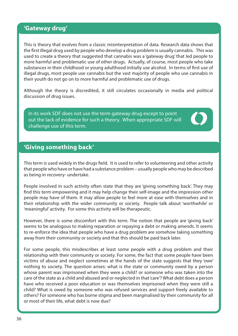### <span id="page-35-0"></span>**'Gateway drug'**

This is theory that evolves from a classic misinterpretation of data. Research data shows that the first illegal drug used by people who develop a drug problem is usually cannabis. This was used to create a theory that suggested that cannabis was a 'gateway drug' that led people to more harmful and problematic use of other drugs. Actually, of course, most people who take substances in their childhood or young adulthood initially use alcohol. In terms of first use of illegal drugs, most people use cannabis but the vast majority of people who use cannabis in their youth do not go on to more harmful and problematic use of drugs.

Although the theory is discredited, it still circulates occasionally in media and political discussion of drug issues.

In its work SDF does not use the term gateway drug except to point out the lack of evidence for such a theory. When appropriate SDF will challenge use of this term.

## **'Giving something back'**

This term is used widely in the drugs field. It is used to refer to volunteering and other activity that people who have or have had a substance problem – usually people who may be described as being in recovery- undertake.

People involved in such activity often state that they are 'giving something back'. They may find this term empowering and it may help change their self-image and the impression other people may have of them. It may allow people to feel more at ease with themselves and in their relationship with the wider community or society. People talk about 'worthwhile' or 'meaningful' activity. For some this activity will be therapeutic.

However, there is some discomfort with this term. The notion that people are 'giving back' seems to be analogous to making reparation or repaying a debt or making amends. It seems to re-enforce the idea that people who have a drug problem are somehow taking something away from their community or society and that this should be paid back later.

For some people, this misdescribes at least some people with a drug problem and their relationship with their community or society. For some, the fact that some people have been victims of abuse and neglect sometimes at the hands of the state suggests that they 'owe' nothing to society. The question arises: what is the state or community owed by a person whose parent was imprisoned when they were a child? or someone who was taken into the care of the state as a child and abused and or neglected in that 'care'? What debt does a person have who received a poor education or was themselves imprisoned when they were still a child? What is owed by someone who was refused services and support freely available to others? For someone who has borne stigma and been marginalised by their community for all or most of their life, what debt is now due?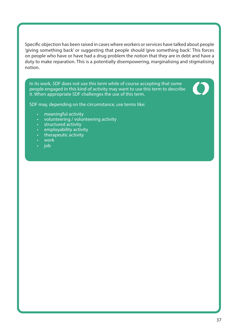Specific objection has been raised in cases where workers or services have talked about people 'giving something back' or suggesting that people should 'give something back'. This forces on people who have or have had a drug problem the notion that they are in debt and have a duty to make reparation. This is a potentially disempowering, marginalising and stigmatising notion.

In its work, SDF does not use this term while of course accepting that some people engaged in this kind of activity may want to use this term to describe it. When appropriate SDF challenges the use of this term.



SDF may, depending on the circumstance, use terms like:

- meaningful activity
- volunteering / volunteering activity
- structured activity
- employability activity
- therapeutic activity
- work
- job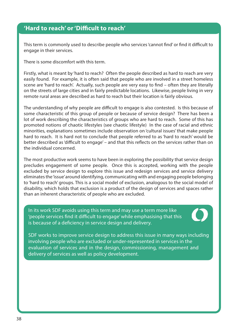## **'Hard to reach' or 'Difficult to reach'**

This term is commonly used to describe people who services 'cannot find' or find it difficult to engage in their services.

There is some discomfort with this term.

Firstly, what is meant by 'hard to reach? Often the people described as hard to reach are very easily found. For example, it is often said that people who are involved in a street homeless scene are 'hard to reach'. Actually, such people are very easy to find – often they are literally on the streets of large cities and in fairly predictable locations. Likewise, people living in very remote rural areas are described as hard to reach but their location is fairly obvious.

The understanding of why people are difficult to engage is also contested. Is this because of some characteristic of this group of people or because of service design? There has been a lot of work describing the characteristics of groups who are hard to reach. Some of this has promoted notions of chaotic lifestyles (see chaotic lifestyle) In the case of racial and ethnic minorities, explanations sometimes include observation on 'cultural issues' that make people hard to reach. It is hard not to conclude that people referred to as 'hard to reach' would be better described as 'difficult to engage' – and that this reflects on the services rather than on the individual concerned.

The most productive work seems to have been in exploring the possibility that service design precludes engagement of some people. Once this is accepted, working with the people excluded by service design to explore this issue and redesign services and service delivery eliminates the 'issue' around identifying, communicating with and engaging people belonging to 'hard to reach' groups. This is a social model of exclusion, analogous to the social model of disability, which holds that exclusion is a product of the design of services and spaces rather than an inherent characteristic of people who are excluded.

In its work SDF avoids using this term and may use a term more like 'people services find it difficult to engage' while emphasising that this is because of a deficiency in service design and delivery.



SDF works to improve service design to address this issue in many ways including involving people who are excluded or under-represented in services in the evaluation of services and in the design, commissioning, management and delivery of services as well as policy development.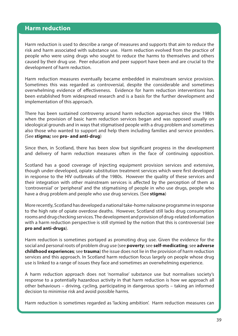### **Harm reduction**

Harm reduction is used to describe a range of measures and supports that aim to reduce the risk and harm associated with substance use. Harm reduction evolved from the practice of people who were using drugs who sought to reduce the harms to themselves and others caused by their drug use. Peer education and peer support have been and are crucial to the development of harm reduction.

Harm reduction measures eventually became embedded in mainstream service provision. Sometimes this was regarded as controversial, despite the considerable and sometimes overwhelming evidence of effectiveness. Evidence for harm reduction interventions has been established from widespread research and is a basis for the further development and implementation of this approach.

There has been sustained controversy around harm reduction approaches since the 1980s when the provision of basic harm reduction services began and was opposed usually on ideological grounds and in ways that stigmatised people with a drug problem and sometimes also those who wanted to support and help them including families and service providers. (See **stigma;** see **pro- and anti-drug**)

Since then, in Scotland, there has been slow but significant progress in the development and delivery of harm reduction measures often in the face of continuing opposition.

Scotland has a good coverage of injecting equipment provision services and extensive, though under-developed, opiate substitution treatment services which were first developed in response to the HIV outbreaks of the 1980s. However the quality of these services and their integration with other mainstream services is affected by the perception of them as 'controversial' or 'peripheral' and the stigmatising of people in who use drugs, people who have a drug problem and people who use drug services. (See **stigma**)

More recently, Scotland has developed a national take-home naloxone programme in response to the high rate of opiate overdose deaths. However, Scotland still lacks drug consumption rooms and drug checking services. The development and provision of drug-related information with a harm reduction perspective is still stymied by the notion that this is controversial (see **pro and anti-drugs**).

Harm reduction is sometimes portayed as promoting drug use. Given the evidence for the social and personal roots of problem drug use (see **poverty**; see **self-medicating**; see **adverse childhood experiences**; see **trauma**) the issue does not lie in the provision of harm reduction services and this approach. In Scotland harm reduction focus largely on people whose drug use is linked to a range of issues they face and sometimes an overwhelming experience.

A harm reduction approach does not 'normalise' substance use but normalises society's response to a potentially hazardous activity in that harm reduction is how we approach all other behaviours – driving, cycling, participating in dangerous sports – taking an informed decision to minimise risk and avoid possible harms.

Harm reduction is sometimes regarded as 'lacking ambition'. Harm reduction measures can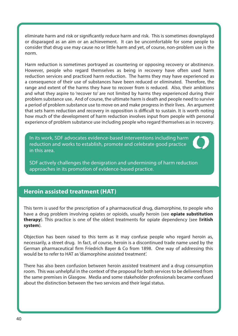eliminate harm and risk or significantly reduce harm and risk. This is sometimes downplayed or disparaged as an aim or an achievement. It can be uncomfortable for some people to consider that drug use may cause no or little harm and yet, of course, non-problem use is the norm.

Harm reduction is sometimes portrayed as countering or opposing recovery or abstinence. However, people who regard themselves as being in recovery have often used harm reduction services and practiced harm reduction. The harms they may have experienced as a consequence of their use of substances have been reduced or eliminated. Therefore, the range and extent of the harms they have to recover from is reduced. Also, their ambitions and what they aspire to 'recover to' are not limited by harms they experienced during their problem substance use. And of course, the ultimate harm is death and people need to survive a period of problem substance use to move on and make progress in their lives. An argument that sets harm reduction and recovery in opposition is difficult to sustain. It is worth noting how much of the development of harm reduction involves input from people with personal experience of problem substance use including people who regard themselves as in recovery.

In its work, SDF advocates evidence-based interventions including harm reduction and works to establish, promote and celebrate good practice in this area.



SDF actively challenges the denigration and undermining of harm reduction approaches in its promotion of evidence-based practice.

## **Heroin assisted treatment (HAT)**

This term is used for the prescription of a pharmaceutical drug, diamorphine, to people who have a drug problem involving opiates or opioids, usually heroin (see **opiate substitution therapy**). This practice is one of the oldest treatments for opiate dependency (see B**ritish system**).

Objection has been raised to this term as it may confuse people who regard heroin as, necessarily, a street drug. In fact, of course, heroin is a discontinued trade name used by the German pharmaceutical firm Friedrich Bayer & Co from 1898. One way of addressing this would be to refer to HAT as 'diamorphine assisted treatment'.

There has also been confusion between heroin assisted treatment and a drug consumption room. This was unhelpful in the context of the proposal for both services to be delivered from the same premises in Glasgow. Media and some stakeholder professionals became confused about the distinction between the two services and their legal status.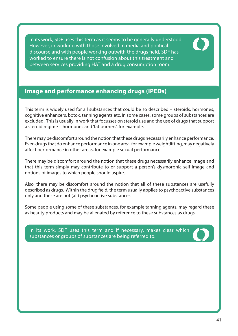In its work, SDF uses this term as it seems to be generally understood. However, in working with those involved in media and political discourse and with people working outwith the drugs field, SDF has worked to ensure there is not confusion about this treatment and between services providing HAT and a drug consumption room.

# **Image and performance enhancing drugs (IPEDs)**

This term is widely used for all substances that could be so described – steroids, hormones, cognitive enhancers, botox, tanning agents etc. In some cases, some groups of substances are excluded. This is usually in work that focusses on steroid use and the use of drugs that support a steroid regime – hormones and 'fat burners', for example.

There may be discomfort around the notion that these drugs necessarily enhance performance. Even drugs that do enhance performance in one area, for example weightlifting, may negatively affect performance in other areas, for example sexual performance.

There may be discomfort around the notion that these drugs necessarily enhance image and that this term simply may contribute to or support a person's dysmorphic self-image and notions of images to which people should aspire.

Also, there may be discomfort around the notion that all of these substances are usefully described as drugs. Within the drug field, the term usually applies to psychoactive substances only and these are not (all) psychoactive substances.

Some people using some of these substances, for example tanning agents, may regard these as beauty products and may be alienated by reference to these substances as drugs.

In its work, SDF uses this term and if necessary, makes clear which substances or groups of substances are being referred to.

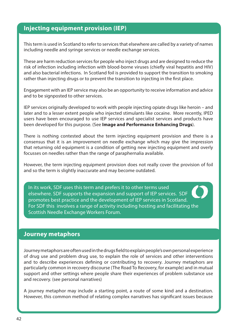## **Injecting equipment provision (IEP)**

This term is used in Scotland to refer to services that elsewhere are called by a variety of names including needle and syringe services or needle exchange services.

These are harm reduction services for people who inject drugs and are designed to reduce the risk of infection including infection with blood-borne viruses (chiefly viral hepatitis and HIV) and also bacterial infections. In Scotland foil is provided to support the transition to smoking rather than injecting drugs or to prevent the transition to injecting in the first place.

Engagement with an IEP service may also be an opportunity to receive information and advice and to be signposted to other services.

IEP services originally developed to work with people injecting opiate drugs like heroin – and later and to a lesser extent people who injected stimulants like cocaine. More recently, IPED users have been encouraged to use IEP services and specialist services and products have been developed for this purpose. (See **Image and Performance Enhancing Drugs**).

There is nothing contested about the term injecting equipment provision and there is a consensus that it is an improvement on needle exchange which may give the impression that returning old equipment is a condition of getting new injecting equipment and overly focusses on needles rather than the range of paraphernalia available.

However, the term injecting equipment provision does not really cover the provision of foil and so the term is slightly inaccurate and may become outdated.

In its work, SDF uses this term and prefers it to other terms used elsewhere. SDF supports the expansion and support of IEP services. SDF promotes best practice and the development of IEP services in Scotland. For SDF this involves a range of activity including hosting and facilitating the Scottish Needle Exchange Workers Forum.

#### **Journey metaphors**

Journey metaphors are often used in the drugs field to explain people's own personal experience of drug use and problem drug use, to explain the role of services and other interventions and to describe experiences defining or contributing to recovery. Journey metaphors are particularly common in recovery discourse (The Road To Recovery, for example) and in mutual support and other settings where people share their experiences of problem substance use and recovery. (see personal narratives)

A journey metaphor may include a starting point, a route of some kind and a destination. However, this common method of relating complex narratives has significant issues because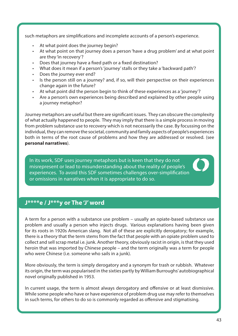such metaphors are simplifications and incomplete accounts of a person's experience.

- At what point does the journey begin?
- At what point on that journey does a person 'have a drug problem' and at what point are they 'in recovery'?
- Does that journey have a fixed path or a fixed destination?
- What does it mean if a person's 'journey' stalls or they take a 'backward path'?
- Does the journey ever end?
- Is the person still on a journey? and, if so, will their perspective on their experiences change again in the future?
- At what point did the person begin to think of these experiences as a 'journey'?
- Are a person's own experiences being described and explained by other people using a journey metaphor?

Journey metaphors are useful but there are significant issues. They can obscure the complexity of what actually happened to people. They may imply that there is a simple process in moving from problem substance use to recovery which is not necessarily the case. By focussing on the individual, they can remove the societal, community and family aspects of people's experiences both in terms of the root cause of problems and how they are addressed or resolved. (see **personal narratives**).

In its work, SDF uses journey metaphors but is keen that they do not misrepresent or lead to misunderstanding about the reality of people's experiences. To avoid this SDF sometimes challenges over-simplification or omissions in narratives when it is appropriate to do so.

## **J\*\*\*\*e / J\*\*\*y or The 'J' word**

A term for a person with a substance use problem – usually an opiate-based substance use problem and usually a person who injects drugs. Various explanations having been given for its roots in 1920s American slang. Not all of these are explicitly derogatory; for example, there is a theory that the term stems from the fact that people with an opiate problem used to collect and sell scrap metal i.e. junk. Another theory, obviously racist in origin, is that they used heroin that was imported by Chinese people – and the term originally was a term for people who were Chinese (i.e. someone who sails in a junk).

More obviously, the term is simply derogatory and a synonym for trash or rubbish. Whatever its origin, the term was popularised in the sixties partly by William Burroughs' autobiographical novel originally published in 1953.

In current usage, the term is almost always derogatory and offensive or at least dismissive. While some people who have or have experience of problem drug use may refer to themselves in such terms, for others to do so is commonly regarded as offensive and stigmatising.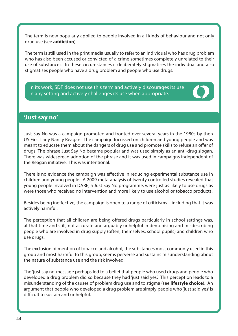The term is now popularly applied to people involved in all kinds of behaviour and not only drug use (see **addiction**).

The term is still used in the print media usually to refer to an individual who has drug problem who has also been accused or convicted of a crime sometimes completely unrelated to their use of substances. In these circumstances it deliberately stigmatises the individual and also stigmatises people who have a drug problem and people who use drugs.

In its work, SDF does not use this term and actively discourages its use in any setting and actively challenges its use when appropriate.

### **'Just say no'**

Just Say No was a campaign promoted and fronted over several years in the 1980s by then US First Lady Nancy Reagan. The campaign focussed on children and young people and was meant to educate them about the dangers of drug use and promote skills to refuse an offer of drugs. The phrase Just Say No became popular and was used simply as an anti-drug slogan. There was widespread adoption of the phrase and it was used in campaigns independent of the Reagan initiative. This was intentional.

There is no evidence the campaign was effective in reducing experimental substance use in children and young people. A 2009 meta-analysis of twenty controlled studies revealed that young people involved in DARE, a Just Say No programme, were just as likely to use drugs as were those who received no intervention and more likely to use alcohol or tobacco products.

Besides being ineffective, the campaign is open to a range of criticisms – including that it was actively harmful.

The perception that all children are being offered drugs particularly in school settings was, at that time and still, not accurate and arguably unhelpful in demonising and misdescribing people who are involved in drug supply (often, themselves, school pupils) and children who use drugs.

The exclusion of mention of tobacco and alcohol, the substances most commonly used in this group and most harmful to this group, seems perverse and sustains misunderstanding about the nature of substance use and the risk involved.

The 'just say no' message perhaps led to a belief that people who used drugs and people who developed a drug problem did so because they had 'just said yes'. This perception leads to a misunderstanding of the causes of problem drug use and to stigma (see **lifestyle choice**). An argument that people who developed a drug problem are simply people who 'just said yes' is difficult to sustain and unhelpful.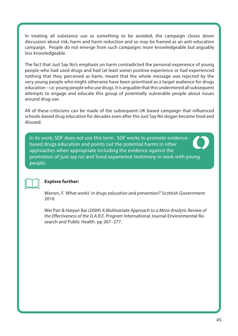In treating all substance use as something to be avoided, the campaign closes down discussion about risk, harm and harm reduction and so may be framed as an anti-education campaign. People do not emerge from such campaigns more knowledgeable but arguably less knowledgeable.

The fact that Just Say No's emphasis on harm contradicted the personal experience of young people who had used drugs and had (at least some) positive experience or had experienced nothing that they perceived as harm, meant that the whole message was rejected by the very young people who might otherwise have been prioritised as a target audience for drugs education – i.e. young people who use drugs. It is arguable that this undermined all subsequent attempts to engage and educate this group of potentially vulnerable people about issues around drug use.

All of these criticisms can be made of the subsequent UK based campaign that influenced schools-based drug education for decades even after the Just Say No slogan became tired and disused.

In its work, SDF does not use this term. SDF works to promote evidencebased drugs education and points out the potential harms in other approaches when appropriate including the evidence against the promotion of 'just say no' and 'lived experience' testimony in work with young people.



#### **Explore further:**

Warren, F. 'What works' in drugs education and prevention?' Scottish Government 2016

Wei Pan & Haiyan Bai (2009) A Multivariate Approach to a Meta-Analytic Review of the Effectiveness of the D.A.R.E. Program International Journal Environmental Research and Public Health. pp 267–277.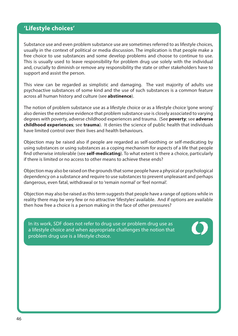## **'Lifestyle choices'**

Substance use and even problem substance use are sometimes referred to as lifestyle choices, usually in the context of political or media discussion. The implication is that people make a free choice to use substances and some develop problems and choose to continue to use. This is usually used to leave responsibility for problem drug use solely with the individual and, crucially to diminish or remove any responsibility the state or other stakeholders have to support and assist the person.

This view can be regarded as simplistic and damaging. The vast majority of adults use psychoactive substances of some kind and the use of such substances is a common feature across all human history and culture (see **abstinence**).

The notion of problem substance use as a lifestyle choice or as a lifestyle choice 'gone wrong' also denies the extensive evidence that problem substance use is closely associated to varying degrees with poverty, adverse childhood experiences and trauma. (See **poverty**; see **adverse childhood experiences**; see **trauma**). It denies the science of public health that individuals have limited control over their lives and health behaviours.

Objection may be raised also if people are regarded as self-soothing or self-medicating by using substances or using substances as a coping mechanism for aspects of a life that people find otherwise intolerable (see **self-medicating**). To what extent is there a choice, particularly if there is limited or no access to other means to achieve these ends?

Objection may also be raised on the grounds that some people have a physical or psychological dependency on a substance and require to use substances to prevent unpleasant and perhaps dangerous, even fatal, withdrawal or to 'remain normal' or 'feel normal'.

Objection may also be raised as this term suggests that people have a range of options while in reality there may be very few or no attractive 'lifestyles' available. And if options are available then how free a choice is a person making in the face of other pressures?

In its work, SDF does not refer to drug use or problem drug use as a lifestyle choice and when appropriate challenges the notion that problem drug use is a lifestyle choice.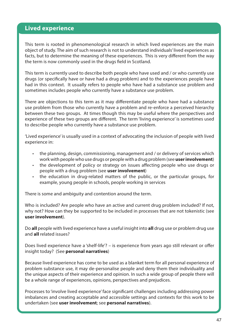### **Lived experience**

This term is rooted in phenomenological research in which lived experiences are the main object of study. The aim of such research is not to understand individuals' lived experiences as facts, but to determine the meaning of these experiences. This is very different from the way the term is now commonly used in the drugs field in Scotland.

This term is currently used to describe both people who have used and / or who currently use drugs (or specifically have or have had a drug problem) and to the experiences people have had in this context. It usually refers to people who have had a substance use problem and sometimes includes people who currently have a substance use problem.

There are objections to this term as it may differentiate people who have had a substance use problem from those who currently have a problem and re-enforce a perceived hierarchy between these two groups. At times though this may be useful where the perspectives and experience of these two groups are different. The term 'living experience' is sometimes used to describe people who currently have a substance use problem.

'Lived experience' is usually used in a context of advocating the inclusion of people with lived experience in:

- the planning, design, commissioning, management and / or delivery of services which work with people who use drugs or people with a drug problem (see **user involvement**)
- the development of policy or strategy on issues affecting people who use drugs or people with a drug problem (see **user involvement**)
- the education in drug-related matters of the public, or the particular groups, for example, young people in schools, people working in services

There is some and ambiguity and contention around the term.

Who is included? Are people who have an active and current drug problem included? If not, why not? How can they be supported to be included in processes that are not tokenistic (see **user involvement**).

Do **all** people with lived experience have a useful insight into **all** drug use or problem drug use and **all** related issues?

Does lived experience have a 'shelf-life'? – is experience from years ago still relevant or offer insight today? (See **personal narratives**)

Because lived experience has come to be used as a blanket term for all personal experience of problem substance use, it may de-personalise people and deny them their individuality and the unique aspects of their experience and opinion. In such a wide group of people there will be a whole range of experiences, opinions, perspectives and prejudices.

Processes to 'involve lived experience' face significant challenges including addressing power imbalances and creating acceptable and accessible settings and contexts for this work to be undertaken (see **user involvement**; see **personal narratives**).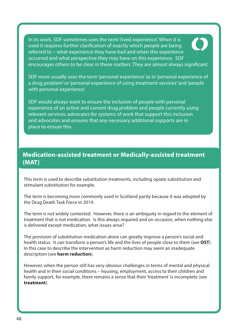In its work, SDF sometimes uses the term 'lived experience'. When it is used it requires further clarification of exactly which people are being referred to – what experience they have had and when this experience occurred and what perspective they may have on this experience. SDF encourages others to be clear in these matters. They are almost always significant.

SDF more usually uses the term 'personal experience' as in 'personal experience of a drug problem' or 'personal experience of using treatment services' and 'people with personal experience'.

SDF would always want to ensure the inclusion of people with personal experience of an active and current drug problem and people currently using relevant services; advocates for systems of work that support this inclusion and advocates and ensures that any necessary additional supports are in place to ensure this.

# **Medication-assisted treatment or Medically-assisted treatment (MAT)**

This term is used to describe substitution treatments, including opiate substitution and stimulant substitution for example.

The term is becoming more commonly used in Scotland partly because it was adopted by the Drug Death Task Force in 2019.

The term is not widely contested. However, there is an ambiguity in regard to the element of treatment that is not medication. Is this always required and on occasion, when nothing else is delivered except medication, what issues arise?

The provision of substitution medication alone can greatly improve a person's social and health status. It can transform a person's life and the lives of people close to them (see **OST**). In this case to describe the intervention as harm reduction may seem an inadequate description (see **harm reduction**).

However, when the person still has very obvious challenges in terms of mental and physical health and in their social conditions – housing, employment, access to their children and family support, for example, there remains a sense that their 'treatment' is incomplete (see **treatment**).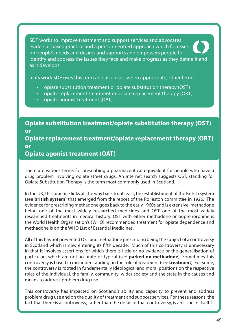SDF works to improve treatment and support services and advocates evidence-based practice and a person-centred approach which focusses on people's needs and desires and supports and empowers people to identify and address the issues they face and make progress as they define it and as it develops.

In its work SDF uses this term and also uses, when appropriate, other terms:

- opiate substitution treatment or opiate substitution therapy (OST)
- opiate replacement treatment or opiate replacement therapy (ORT)
- opiate agonist treatment (OAT)

**Opiate substitution treatment/opiate substitution therapy (OST) or Opiate replacement treatment/opiate replacement therapy (ORT) or** 

**Opiate agonist treatment (OAT)**

There are various terms for prescribing a pharmaceutical equivalent for people who have a drug problem involving opiate street drugs. An internet search suggests OST, standing for Opiate Substitution Therapy is the term most commonly used in Scotland.

In the UK, this practice links all the way back to, at least, the establishment of the British system (see **british system**) that emerged from the report of the Rolleston committee in 1926. The evidence for prescribing methadone goes back to the early 1960s and is extensive; methadone being one of the most widely researched medicines and OST one of the most widely researched treatments in medical history. OST with either methadone or buprenorphine is the World Health Organisation's (WHO) recommended treatment for opiate dependence and methadone is on the WHO List of Essential Medicines.

All of this has not prevented OST and methadone prescribing being the subject of a controversy in Scotland which is now entering its fifth decade. Much of this controversy is unnecessary in that it involves assertions for which there is little or no evidence or the generalisation of particulars which are not accurate or typical (see **parked on methadone**). Sometimes this controversy is based in misunderstanding on the role of treatment (see **treatment**). For some, the controversy is rooted in fundamentally ideological and moral positions on the respective roles of the individual, the family, community, wider society and the state in the causes and means to address problem drug use.

This controversy has impacted on Scotland's ability and capacity to prevent and address problem drug use and on the quality of treatment and support services. For these reasons, the fact that there is a controversy, rather than the detail of that controversy, is an issue in itself. It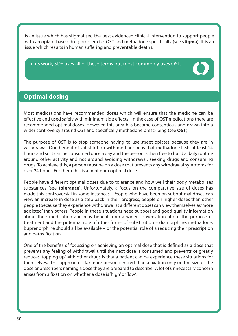is an issue which has stigmatised the best evidenced clinical intervention to support people with an opiate-based drug problem i.e. OST and methadone specifically (see **stigma**). It is an issue which results in human suffering and preventable deaths.

In its work, SDF uses all of these terms but most commonly uses OST.



# **Optimal dosing**

Most medications have recommended doses which will ensure that the medicine can be effective and used safely with minimum side effects. In the case of OST medications there are recommended optimal doses. However, this area has become contentious and drawn into a wider controversy around OST and specifically methadone prescribing (see **OST**).

The purpose of OST is to stop someone having to use street opiates because they are in withdrawal. One benefit of substitution with methadone is that methadone lasts at least 24 hours and so it can be consumed once a day and the person is then free to build a daily routine around other activity and not around avoiding withdrawal, seeking drugs and consuming drugs. To achieve this, a person must be on a dose that prevents any withdrawal symptoms for over 24 hours. For them this is a minimum optimal dose.

People have different optimal doses due to tolerance and how well their body metabolises substances (see **tolerance**). Unfortunately, a focus on the comparative size of doses has made this controversial in some instances. People who have been on suboptimal doses can view an increase in dose as a step back in their progress; people on higher doses than other people (because they experience withdrawal at a different dose) can view themselves as 'more addicted' than others. People in these situations need support and good quality information about their medication and may benefit from a wider conversation about the purpose of treatment and the potential role of other forms of substitution – diamorphine, methadone, buprenorphine should all be available – or the potential role of a reducing their prescription and detoxification.

One of the benefits of focussing on achieving an optimal dose that is defined as a dose that prevents any feeling of withdrawal until the next dose is consumed and prevents or greatly reduces 'topping up' with other drugs is that a patient can be experience these situations for themselves. This approach is far more person-centred than a fixation only on the size of the dose or prescribers naming a dose they are prepared to describe. A lot of unnecessary concern arises from a fixation on whether a dose is 'high' or 'low'.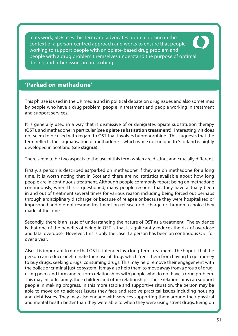In its work, SDF uses this term and advocates optimal dosing in the context of a person-centred approach and works to ensure that people working to support people with an opiate-based drug problem and people with a drug problem themselves understand the purpose of optimal dosing and other issues in prescribing.

# **'Parked on methadone'**

This phrase is used in the UK media and in political debate on drug issues and also sometimes by people who have a drug problem, people in treatment and people working in treatment and support services.

It is generally used in a way that is dismissive of or denigrates opiate substitution therapy (OST), and methadone in particular (see **opiate substitution treatment**). Interestingly it does not seem to be used with regard to OST that involves buprenorphine. This suggests that the term reflects the stigmatisation of methadone – which while not unique to Scotland is highly developed in Scotland (see **stigma**).

There seem to be two aspects to the use of this term which are distinct and crucially different.

Firstly, a person is described as 'parked on methadone' if they are on methadone for a long time. It is worth noting that in Scotland there are no statistics available about how long people are in continuous treatment. Although people commonly report being on methadone continuously, when this is questioned, many people recount that they have actually been in and out of treatment several times for various reason including being forced out perhaps through a 'disciplinary discharge' or because of relapse or because they were hospitalised or imprisoned and did not resume treatment on release or discharge or through a choice they made at the time.

Secondly, there is an issue of understanding the nature of OST as a treatment. The evidence is that one of the benefits of being in OST is that it significantly reduces the risk of overdose and fatal overdose. However, this is only the case if a person has been on continuous OST for over a year.

Also, it is important to note that OST is intended as a long-term treatment. The hope is that the person can reduce or eliminate their use of drugs which frees them from having to get money to buy drugs; seeking drugs; consuming drugs. This may help remove their engagement with the police or criminal justice system. It may also help them to move away from a group of drugusing peers and form and re-form relationships with people who do not have a drug problem. This may include family, their children and other relationships. These relationships can support people in making progress. In this more stable and supportive situation, the person may be able to move on to address issues they face and resolve practical issues including housing and debt issues. They may also engage with services supporting them around their physical and mental health better than they were able to when they were using street drugs. Being on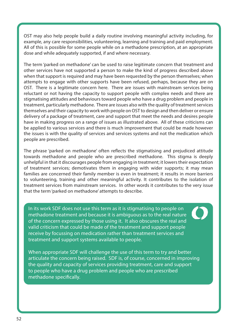OST may also help people build a daily routine involving meaningful activity including, for example, any care responsibilities, volunteering, learning and training and paid employment. All of this is possible for some people while on a methadone prescription, at an appropriate dose and while adequately supported, if and where necessary.

The term 'parked on methadone' can be used to raise legitimate concern that treatment and other services have not supported a person to make the kind of progress described above when that support is required and may have been requested by the person themselves; when attempts to engage with other supports have been refused, perhaps, because they are on OST. There is a legitimate concern here. There are issues with mainstream services being reluctant or not having the capacity to support people with complex needs and there are stigmatising attitudes and behaviours toward people who have a drug problem and people in treatment, particularly methadone. There are issues also with the quality of treatment services themselves and their capacity to work with people on OST to design and then deliver or ensure delivery of a package of treatment, care and support that meet the needs and desires people have in making progress on a range of issues as illustrated above. All of these criticisms can be applied to various services and there is much improvement that could be made however the issues is with the quality of services and services systems and not the medication which people are prescribed.

The phrase 'parked on methadone' often reflects the stigmatising and prejudiced attitude towards methadone and people who are prescribed methadone. This stigma is deeply unhelpful in that it discourages people from engaging in treatment; it lowers their expectation of treatment services; demotivates them in engaging with wider supports; it may mean families are concerned their family member is even in treatment; it results in more barriers to volunteering, training and other meaningful activity. It contributes to the isolation of treatment services from mainstream services. In other words it contributes to the very issue that the term 'parked on methadone' attempts to describe.

In its work SDF does not use this term as it is stigmatising to people on methadone treatment and because it is ambiguous as to the real nature of the concern expressed by those using it. It also obscures the real and valid criticism that could be made of the treatment and support people receive by focussing on medication rather than treatment services and treatment and support systems available to people.

When appropriate SDF will challenge the use of this term to try and better articulate the concern being raised. SDF is, of course, concerned in improving the quality and capacity of services providing treatment, care and support to people who have a drug problem and people who are prescribed methadone specifically.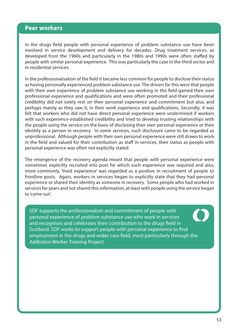#### **Peer workers**

In the drugs field people with personal experience of problem substance use have been involved in service development and delivery for decades. Drug treatment services, as developed from the 1960s and particularly in the 1980s and 1990s were often staffed by people with similar personal experience. This was particularly the case in the third sector and in residential services.

In the professionalisation of the field it became less common for people to disclose their status as having personally experienced problem substance use. The drivers for this were that people with their own experience of problem substance use working in the field gained their own professional experience and qualifications and were often promoted and their professional credibility did not solely rest on their personal experience and commitment but also, and perhaps mainly as they saw it, in their work experience and qualifications. Secondly, it was felt that workers who did not have direct personal experience were undermined if workers with such experience established credibility and tried to develop trusting relationships with the people using the service on the basis of disclosing their own personal experience or their identity as a person in recovery. In some services, such disclosure came to be regarded as unprofessional. Although people with their own personal experience were still drawn to work in the field and valued for their contribution as staff in services, their status as people with personal experience was often not explicitly stated.

The emergence of the recovery agenda meant that people with personal experience were sometimes explicitly recruited into post for which such experience was required and also, more commonly, 'lived experience' was regarded as a positive in recruitment of people to frontline posts. Again, workers in services began to explicitly state that they had personal experience or shared their identity as someone in recovery. Some people who had worked in services for years and not shared this information, at least with people using the service began to 'come out'.

SDF supports the professionalism and commitment of people with personal experience of problem substance use who work in services and recognises and celebrates their contribution to the drugs field in Scotland. SDF works to support people with personal experience to find employment in the drugs and wider care field, most particularly through the Addiction Worker Training Project.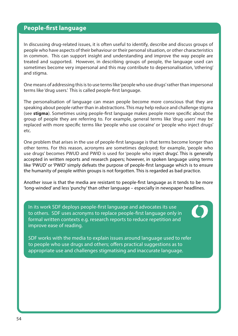## **People-first language**

In discussing drug-related issues, it is often useful to identify, describe and discuss groups of people who have aspects of their behaviour or their personal situation, or other characteristics in common. This can support insight and understanding and improve the way people are treated and supported. However, in describing groups of people, the language used can sometimes become very impersonal and this may contribute to depersonalisation, 'othering' and stigma.

One means of addressing this is to use terms like 'people who use drugs' rather than impersonal terms like 'drug users.' This is called people-first language.

The personalisation of language can mean people become more conscious that they are speaking about people rather than in abstractions. This may help reduce and challenge stigma (see **stigma**). Sometimes using people-first language makes people more specific about the group of people they are referring to. For example, general terms like 'drug users' may be replaced with more specific terms like 'people who use cocaine' or 'people who inject drugs' etc.

One problem that arises in the use of people-first language is that terms become longer than other terms. For this reason, acronyms are sometimes deployed; for example, 'people who use drugs' becomes PWUD and PWID is used for 'people who inject drugs'. This is generally accepted in written reports and research papers; however, in spoken language using terms like 'PWUD' or 'PWID' simply defeats the purpose of people-first language which is to ensure the humanity of people within groups is not forgotten. This is regarded as bad practice.

Another issue is that the media are resistant to people-first language as it tends to be more 'long-winded' and less 'punchy' than other language – especially in newspaper headlines.

In its work SDF deploys people-first language and advocates its use to others. SDF uses acronyms to replace people-first language only in formal written contexts e.g. research reports to reduce repetition and improve ease of reading.

SDF works with the media to explain issues around language used to refer to people who use drugs and others; offers practical suggestions as to appropriate use and challenges stigmatising and inaccurate language.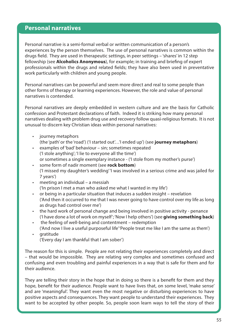### **Personal narratives**

Personal narrative is a semi-formal verbal or written communication of a person's experiences by the person themselves. The use of personal narratives is common within the drugs field. They are used in therapeutic settings, in peer settings – 'shares' in 12 step fellowship (see **Alcoholics Anonymous**), for example; in training and briefing of expert professionals within the drugs and related fields; they have also been used in preventative work particularly with children and young people.

Personal narratives can be powerful and seem more direct and real to some people than other forms of therapy or learning experiences. However, the role and value of personal narratives is contended.

Personal narratives are deeply embedded in western culture and are the basis for Catholic confession and Protestant declarations of faith. Indeed it is striking how many personal narratives dealing with problem drug use and recovery follow quasi-religious formats. It is not unusual to discern key Christian ideas within personal narratives:

- journey metaphors (the 'path' or the 'road') ('I started out'…'I ended up') (see **journey metaphors**)
- examples of 'bad' behaviour sin; sometimes repeated ('I stole anything'; 'I lie to everyone all the time') or sometimes a single exemplary instance - ('I stole from my mother's purse')
- some form of nadir moment (see **rock bottom**) ('I missed my daughter's wedding' 'I was involved in a serious crime and was jailed for 7 years')
- meeting an individual a messiah ('In prison I met a man who asked me what I wanted in my life')
- or being in a particular situation that induces a sudden insight revelation ('And then it occurred to me that I was never going to have control over my life as long as drugs had control over me')
- the hard work of personal change and being involved in positive activity penance ('I have done a lot of work on myself'; 'Now I help others') (see **giving something back**)
- the feeling of well-being and contentment redemption ('And now I live a useful purposeful life' 'People treat me like I am the same as them')
- gratitude ('Every day I am thankful that I am sober')

The reason for this is simple. People are not relating their experiences completely and direct – that would be impossible. They are relating very complex and sometimes confused and confusing and even troubling and painful experiences in a way that is safe for them and for their audience.

They are telling their story in the hope that in doing so there is a benefit for them and they hope, benefit for their audience. People want to have lives that, on some level, 'make sense' and are 'meaningful'. They want even the most negative or disturbing experiences to have positive aspects and consequences. They want people to understand their experiences. They want to be accepted by other people. So, people soon learn ways to tell the story of their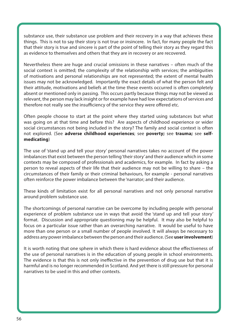substance use, their substance use problem and their recovery in a way that achieves these things. This is not to say their story is not true or insincere. In fact, for many people the fact that their story is true and sincere is part of the point of telling their story as they regard this as evidence to themselves and others that they are in recovery or are recovered.

Nevertheless there are huge and crucial omissions in these narratives – often much of the social context is omitted; the complexity of the relationship with services; the ambiguities of motivations and personal relationships are not represented; the extent of mental health issues may not be acknowledged. Importantly the exact details of what the person felt and their attitude, motivations and beliefs at the time these events occurred is often completely absent or mentioned only in passing. This occurs partly because things may not be viewed as relevant, the person may lack insight or for example have had low expectations of services and therefore not really see the insufficiency of the service they were offered etc.

Often people choose to start at the point where they started using substances but what was going on at that time and before this? Are aspects of childhood experience or wider social circumstances not being included in the story? The family and social context is often not explored. (See **adverse childhood experiences**; see **poverty;** see **trauma;** see **selfmedicating**)

The use of 'stand up and tell your story' personal narratives takes no account of the power imbalances that exist between the person telling 'their story' and their audience which in some contexts may be composed of professionals and academics, for example. In fact by asking a person to reveal aspects of their life that their audience may not be willing to share – the circumstances of their family or their criminal behaviours, for example - personal narratives often reinforce the power imbalance between the 'narrator; and their audience.

These kinds of limitation exist for all personal narratives and not only personal narrative around problem substance use.

The shortcomings of personal narrative can be overcome by including people with personal experience of problem substance use in ways that avoid the 'stand up and tell your story' format. Discussion and appropriate questioning may be helpful. It may also be helpful to focus on a particular issue rather than an overarching narrative. It would be useful to have more than one person or a small number of people involved. It will always be necessary to address any power imbalance between the person and their audience. (See **user involvement**)

It is worth noting that one sphere in which there is hard evidence about the effectiveness of the use of personal narratives is in the education of young people in school environments. The evidence is that this is not only ineffective in the prevention of drug use but that it is harmful and is no longer recommended in Scotland. And yet there is still pressure for personal narratives to be used in this and other contexts.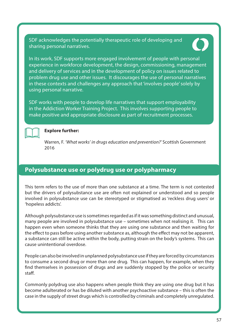SDF acknowledges the potentially therapeutic role of developing and sharing personal narratives.



In its work, SDF supports more engaged involvement of people with personal experience in workforce development, the design, commissioning, management and delivery of services and in the development of policy on issues related to problem drug use and other issues. It discourages the use of personal narratives in these contexts and challenges any approach that 'involves people' solely by using personal narrative.

SDF works with people to develop life narratives that support employability in the Addiction Worker Training Project. This involves supporting people to make positive and appropriate disclosure as part of recruitment processes.



#### **Explore further:**

Warren, F. 'What works' in drugs education and prevention?' Scottish Government 2016

## **Polysubstance use or polydrug use or polypharmacy**

This term refers to the use of more than one substance at a time. The term is not contested but the drivers of polysubstance use are often not explained or understood and so people involved in polysubstance use can be stereotyped or stigmatised as 'reckless drug users' or 'hopeless addicts'.

Although polysubstance use is sometimes regarded as if it was something distinct and unusual, many people are involved in polysubstance use – sometimes when not realising it. This can happen even when someone thinks that they are using one substance and then waiting for the effect to pass before using another substance as, although the effect may not be apparent, a substance can still be active within the body, putting strain on the body's systems. This can cause unintentional overdose.

People can also be involved in unplanned polysubstance use if they are forced by circumstances to consume a second drug or more than one drug. This can happen, for example, when they find themselves in possession of drugs and are suddenly stopped by the police or security staff.

Commonly polydrug use also happens when people think they are using one drug but it has become adulterated or has be diluted with another psychoactive substance – this is often the case in the supply of street drugs which is controlled by criminals and completely unregulated.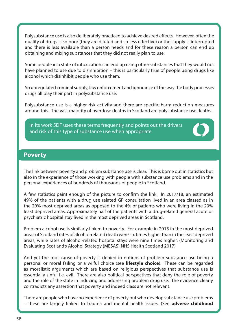Polysubstance use is also deliberately practiced to achieve desired effects. However, often the quality of drugs is so poor (they are diluted and so less effective) or the supply is interrupted and there is less available than a person needs and for these reason a person can end up obtaining and mixing substances that they did not really plan to use.

Some people in a state of intoxication can end up using other substances that they would not have planned to use due to disinhibition – this is particularly true of people using drugs like alcohol which disinhibit people who use them.

So unregulated criminal supply, law enforcement and ignorance of the way the body processes drugs all play their part in polysubstance use.

Polysubstance use is a higher risk activity and there are specific harm reduction measures around this. The vast majority of overdose deaths in Scotland are polysubstance use deaths.

In its work SDF uses these terms frequently and points out the drivers and risk of this type of substance use when appropriate.



### **Poverty**

The link between poverty and problem substance use is clear. This is borne out in statistics but also in the experience of those working with people with substance use problems and in the personal experiences of hundreds of thousands of people in Scotland.

A few statistics paint enough of the picture to confirm the link. In 2017/18, an estimated 49% of the patients with a drug use related GP consultation lived in an area classed as in the 20% most deprived areas as opposed to the 4% of patients who were living in the 20% least deprived areas. Approximately half of the patients with a drug-related general acute or psychiatric hospital stay lived in the most deprived areas in Scotland.

Problem alcohol use is similarly linked to poverty. For example in 2015 in the most deprived areas of Scotland rates of alcohol-related death were six times higher than in the least deprived areas, while rates of alcohol-related hospital stays were nine times higher. (Monitoring and Evaluating Scotland's Alcohol Strategy (MESAS) NHS Health Scotland 2017)

And yet the root cause of poverty is denied in notions of problem substance use being a personal or moral failing or a wilful choice (see **lifestyle choice**). These can be regarded as moralistic arguments which are based on religious perspectives that substance use is essentially sinful i.e. evil. There are also political perspectives that deny the role of poverty and the role of the state in inducing and addressing problem drug use. The evidence clearly contradicts any assertion that poverty and indeed class are not relevant.

There are people who have no experience of poverty but who develop substance use problems – these are largely linked to trauma and mental health issues. (See **adverse childhood**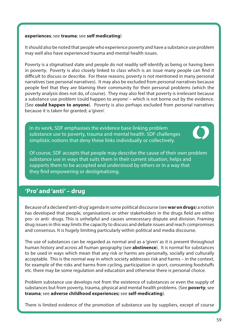#### **experiences**; see **trauma**; see **self medicating**)

It should also be noted that people who experience poverty and have a substance use problem may well also have experienced trauma and mental health issues.

Poverty is a stigmatised state and people do not readily self-identify as being or having been in poverty. Poverty is also closely linked to class which is an issue many people can find it difficult to discuss or describe. For these reasons, poverty is not mentioned in many personal narratives (see personal narratives). It may also be excluded from personal narratives because people feel that they are blaming their community for their personal problems (which the poverty analysis does not do, of course). They may also feel that poverty is irrelevant because a substance use problem 'could happen to anyone' – which is not borne out by the evidence. (See **could happen to anyone**). Poverty is also perhaps excluded from personal narratives because it is taken for granted; a 'given'.

In its work, SDF emphasises the evidence base linking problem substance use to poverty, trauma and mental health. SDF challenges simplistic notions that deny these links individually or collectively.



Of course, SDF accepts that people may describe the cause of their own problem substance use in ways that suits them in their current situation, helps and supports them to be accepted and understood by others or in a way that they find empowering or destigmatising.

# **'Pro' and 'anti' – drug**

Because of a declared 'anti-drug' agenda in some political discourse (see **war on drugs**) a notion has developed that people, organisations or other stakeholders in the drugs field are either pro- or anti- drugs. This is unhelpful and causes unnecessary dispute and division. Framing drug issues in this way limits the capacity to discuss and debate issues and reach compromises and consensus. It is hugely limiting particularly within political and media discourse.

The use of substances can be regarded as normal and as a 'given' as it is present throughout human history and across all human geography (see **abstinence**). It is normal for substances to be used in ways which mean that any risk or harms are personally, socially and culturally acceptable. This is the normal way in which society addresses risk and harms – in the context, for example of the risks and harms from cycling, participation in sport, consuming foodstuffs etc. there may be some regulation and education and otherwise there is personal choice.

Problem substance use develops not from the existence of substances or even the supply of substances but from poverty, trauma, physical and mental health problems. (See **poverty**; see **trauma**; see **adverse childhood experiences;** see **self-medicating**).

There is limited evidence of the promotion of substance use by suppliers, except of course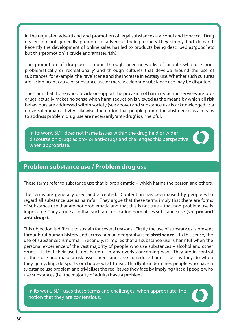in the regulated advertising and promotion of legal substances – alcohol and tobacco. Drug dealers do not generally promote or advertise their products they simply find demand. Recently the development of online sales has led to products being described as 'good' etc but this 'promotion' is crude and 'amateurish'.

The promotion of drug use is done through peer networks of people who use nonproblematically or 'recreationally' and through cultures that develop around the use of substances; for example, the 'rave' scene and the increase in ecstasy use. Whether such cultures are a significant cause of substance use or merely celebrate substance use may be disputed.

The claim that those who provide or support the provision of harm reduction services are 'prodrugs' actually makes no sense when harm reduction is viewed as the means by which all risk behaviours are addressed within society (see above) and substance use is acknowledged as a universal human activity. Likewise, the notion that people promoting abstinence as a means to address problem drug use are necessarily 'anti-drug' is unhelpful.

In its work, SDF does not frame issues within the drug field or wider discourse on drugs as pro- or anti-drugs and challenges this perspective when appropriate.

## **Problem substance use / Problem drug use**

These terms refer to substance use that is 'problematic' – which harms the person and others.

The terms are generally used and accepted. Contention has been raised by people who regard all substance use as harmful. They argue that these terms imply that there are forms of substance use that are not problematic and that this is not true – that non-problem use is impossible. They argue also that such an implication normalises substance use (see **pro and anti-drugs**).

This objection is difficult to sustain for several reasons. Firstly the use of substances is present throughout human history and across human geography (see **abstinence**). In this sense, the use of substances is normal. Secondly, it implies that all substance use is harmful when the personal experience of the vast majority of people who use substances – alcohol and other drugs – is that their use is not harmful in any overly concerning way. They are in control of their use and make a risk assessment and seek to reduce harm – just as they do when they go cycling, do sports or choose what to eat. Thirdly it undermines people who have a substance use problem and trivialises the real issues they face by implying that all people who use substances (i.e. the majority of adults) have a problem.

In its work, SDF uses these terms and challenges, when appropriate, the notion that they are contentious.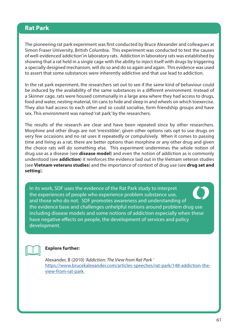## **Rat Park**

The pioneering rat park experiment was first conducted by Bruce Alexander and colleagues at Simon Fraser University, British Columbia. This experiment was conducted to test the causes of well-evidenced 'addiction' in laboratory rats. Addiction in laboratory rats was established by showing that a rat held in a single cage with the ability to inject itself with drugs by triggering a specially designed mechanism, will do so and do so again and again. This evidence was used to assert that some substances were inherently addictive and that use lead to addiction.

In the rat park experiment, the researchers set out to see if the same kind of behaviour could be induced by the availability of the same substances in a different environment. Instead of a Skinner cage, rats were housed communally in a large area where they had access to drugs, food and water, nesting material, tin cans to hide and sleep in and wheels on which toexercise. They also had access to each other and so could socialise, form friendship groups and have sex. This environment was named 'rat park' by the researchers.

The results of the research are clear and have been repeated since by other researchers. Morphine and other drugs are not 'irresistible'; given other options rats opt to use drugs on very few occasions and no rat uses it repeatedly or compulsively. When it comes to passing time and living as a rat, there are better options than morphine or any other drug and given the choice rats will do something else. This experiment undermines the whole notion of drug use as a disease (see **disease model**) and even the notion of addiction as is commonly understood (see **addiction**) it reinforces the evidence laid out in the Vietnam veteran studies (see **Vietnam veterans studies**) and the importance of context of drug use (see **drug set and setting**).

In its work, SDF uses the evidence of the Rat Park study to interpret the experiences of people who experience problem substance use, and those who do not. SDF promotes awareness and understanding of the evidence base and challenges unhelpful notions around problem drug use including disease models and some notions of addiction especially when these have negative effects on people, the development of services and policy development.



#### **Explore further:**

Alexander, B (2010) 'Addiction: The View from Rat Park ' [https://www.brucekalexander.com/articles-speeches/rat-park/148-addiction-the](https://www.brucekalexander.com/articles-speeches/rat-park/148-addiction-the-view-from-rat-park )[view-from-rat-park](https://www.brucekalexander.com/articles-speeches/rat-park/148-addiction-the-view-from-rat-park )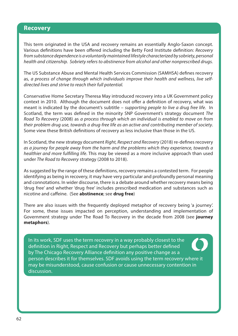#### **Recovery**

This term originated in the USA and recovery remains an essentially Anglo-Saxon concept. Various definitions have been offered including the Betty Ford Institute definition: Recovery from substance dependence is a voluntarily maintained lifestyle characterized by sobriety, personal health and citizenship. Sobriety refers to abstinence from alcohol and other nonprescribed drugs.

The US Substance Abuse and Mental Health Services Commission (SAMHSA) defines recovery as, a process of change through which individuals improve their health and wellness, live selfdirected lives and strive to reach their full potential.

Conservative Home Secretary Theresa May introduced recovery into a UK Government policy context in 2010. Although the document does not offer a definition of recovery, what was meant is indicated by the document's subtitle - supporting people to live a drug free life. In Scotland, the term was defined in the minority SNP Government's strategy document The Road To Recovery (2008) as a process through which an individual is enabled to move on from their problem drug use, towards a drug-free life as an active and contributing member of society. Some view these British definitions of recovery as less inclusive than those in the US.

In Scotland, the new strategy document Right, Respect and Recovery (2018) re-defines recovery as a journey for people away from the harm and the problems which they experience, towards a healthier and more fulfilling life. This may be viewed as a more inclusive approach than used under The Road to Recovery strategy (2008 to 2018).

As suggested by the range of these definitions, recovery remains a contested term. For people identifying as being in recovery, it may have very particular and profoundly personal meaning and connotations. In wider discourse, there is a debate around whether recovery means being 'drug free' and whether 'drug free' includes prescribed medication and substances such as nicotine and caffeine. (See **abstinence**; see **drug free**)

There are also issues with the frequently deployed metaphor of recovery being 'a journey'. For some, these issues impacted on perception, understanding and implementation of Government strategy under The Road To Recovery in the decade from 2008 (see **journey metaphors**).

In its work, SDF uses the term recovery in a way probably closest to the definition in Right, Respect and Recovery but perhaps better defined by The Chicago Recovery Alliance definition any positive change as a person describes it for themselves. SDF avoids using the term recovery where it may be misunderstood, cause confusion or cause unnecessary contention in discussion.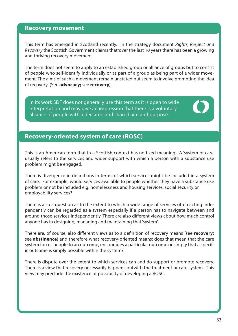#### **Recovery movement**

This term has emerged in Scotland recently. In the strategy document Rights, Respect and Recovery the Scottish Government claims that 'over the last 10 years there has been a growing and thriving recovery movement.'

The term does not seem to apply to an established group or alliance of groups but to consist of people who self-identify individually or as part of a group as being part of a wider movement. The aims of such a movement remain unstated but seem to involve promoting the idea of recovery. (See **advocacy;** see **recovery**).

In its work SDF does not generally use this term as it is open to wide interpretation and may give an impression that there is a voluntary alliance of people with a declared and shared aim and purpose.

## **Recovery-oriented system of care (ROSC)**

This is an American term that in a Scottish context has no fixed meaning. A 'system of care' usually refers to the services and wider support with which a person with a substance use problem might be engaged.

There is divergence in definitions in terms of which services might be included in a system of care. For example, would services available to people whether they have a substance use problem or not be included e.g. homelessness and housing services, social security or employability services?

There is also a question as to the extent to which a wide range of services often acting independently can be regarded as a system especially if a person has to navigate between and around those services independently. There are also different views about how much control anyone has in designing, managing and maintaining that 'system'.

There are, of course, also different views as to a definition of recovery means (see **recovery;** see **abstinence**) and therefore what recovery-oriented means; does that mean that the care system forces people to an outcome, encourages a particular outcome or simply that a specific outcome is simply possible within the system?

There is dispute over the extent to which services can and do support or promote recovery. There is a view that recovery necessarily happens outwith the treatment or care system. This view may preclude the existence or possibility of developing a ROSC.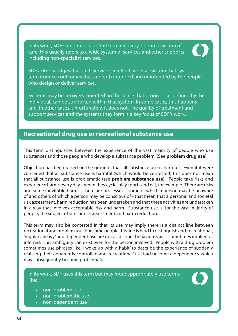In its work, SDF sometimes uses the term recovery-oriented system of care; this usually refers to a wide system of services and other supports including non-specialist services.



SDF acknowledges that such services, in effect, work as system that system produces outcomes that are both intended and unintended by the people who design or deliver services.

Systems may be 'recovery-oriented', in the sense that progress, as defined by the individual, can be supported within that system. In some cases, this happens and, in other cases, unfortunately, it does not. The quality of treatment and support services and the systems they form is a key focus of SDF's work.

## **Recreational drug use or recreational substance use**

This term distinguishes between the experience of the vast majority of people who use substances and those people who develop a substance problem. (See **problem drug use**)

Objection has been raised on the grounds that all substance use is harmful. Even if it were conceded that all substance use is harmful (which would be contested) this does not mean that all substance use is problematic (see **problem substance use**). People take risks and experience harms every day – when they cycle, play sports and eat, for example. There are risks and some inevitable harms. There are processes – some of which a person may be unaware of and others of which a person may be conscious of - that mean that a personal and societal risk assessment, harm reduction has been undertaken and that these activities are undertaken in a way that involves 'acceptable' risk and harm. Substance use is, for the vast majority of people, the subject of similar risk assessment and harm reduction.

This term may also be contested in that its use may imply there is a distinct line between recreational and problem use. For some people this line is hard to distinguish and 'recreational', 'regular', 'heavy' and dependent use are not as distinct behaviours as is sometimes implied or inferred. This ambiguity can exist even for the person involved. People with a drug problem sometimes use phrases like 'I woke up with a habit' to describe the experience of suddenly realising their apparently controlled and 'recreational' use had become a dependency which may subsequently become problematic.

In its work, SDF uses this term but may more appropriately use terms like:



- non-problem use
- non-problematic use
- non-dependent use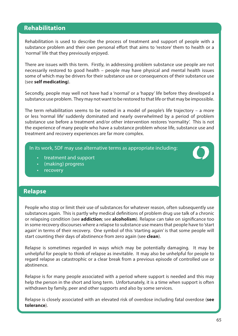## **Rehabilitation**

Rehabilitation is used to describe the process of treatment and support of people with a substance problem and their own personal effort that aims to 'restore' them to health or a 'normal' life that they previously enjoyed.

There are issues with this term. Firstly, in addressing problem substance use people are not necessarily restored to good health – people may have physical and mental health issues some of which may be drivers for their substance use or consequences of their substance use (see **self medicating**).

Secondly, people may well not have had a 'normal' or a 'happy' life before they developed a substance use problem. They may not want to be restored to that life or that may be impossible.

The term rehabilitation seems to be rooted in a model of people's life trajectory – a more or less 'normal life' suddenly dominated and nearly overwhelmed by a period of problem substance use before a treatment and/or other intervention restores 'normality'. This is not the experience of many people who have a substance problem whose life, substance use and treatment and recovery experiences are far more complex.

In its work, SDF may use alternative terms as appropriate including:

- treatment and support
- (making) progress
- **recovery**

#### **Relapse**

People who stop or limit their use of substances for whatever reason, often subsequently use substances again. This is partly why medical definitions of problem drug use talk of a chronic or relapsing condition (see **addiction**; see **alcoholism**). Relapse can take on significance too in some recovery discourses where a relapse to substance use means that people have to 'start again' in terms of their recovery. One symbol of this 'starting again' is that some people will start counting their days of abstinence from zero again (see **clean**).

Relapse is sometimes regarded in ways which may be potentially damaging. It may be unhelpful for people to think of relapse as inevitable. It may also be unhelpful for people to regard relapse as catastrophic or a clear break from a previous episode of controlled use or abstinence.

Relapse is for many people associated with a period where support is needed and this may help the person in the short and long term. Unfortunately, it is a time when support is often withdrawn by family, peer and other supports and also by some services.

Relapse is closely associated with an elevated risk of overdose including fatal overdose (**see tolerance**).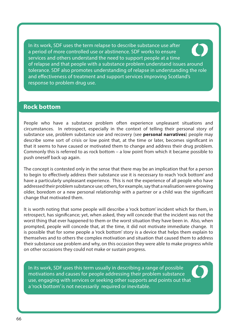In its work, SDF uses the term relapse to describe substance use after a period of more controlled use or abstinence. SDF works to ensure services and others understand the need to support people at a time of relapse and that people with a substance problem understand issues around tolerance. SDF also promotes understanding of relapse in understanding the role and effectiveness of treatment and support services improving Scotland's response to problem drug use.

### **Rock bottom**

People who have a substance problem often experience unpleasant situations and circumstances. In retrospect, especially in the context of telling their personal story of substance use, problem substance use and recovery (see **personal narratives**) people may describe some sort of crisis or low point that, at the time or later, becomes significant in that it seems to have caused or motivated them to change and address their drug problem. Commonly this is referred to as rock bottom – a low point from which it became possible to push oneself back up again.

The concept is contested only in the sense that there may be an implication that for a person to begin to effectively address their substance use it is necessary to reach 'rock bottom' and have a particularly unpleasant experience. This is not the experience of all people who have addressed their problem substance use; others, for example, say that a realisation were growing older, boredom or a new personal relationship with a partner or a child was the significant change that motivated them.

It is worth noting that some people will describe a 'rock bottom' incident which for them, in retrospect, has significance; yet, when asked, they will concede that the incident was not the worst thing that ever happened to them or the worst situation they have been in. Also, when prompted, people will concede that, at the time, it did not motivate immediate change. It is possible that for some people a 'rock bottom' story is a device that helps them explain to themselves and to others the complex motivation and situation that caused them to address their substance use problem and why, on this occasion they were able to make progress while on other occasions they could not make or sustain progress.

In its work, SDF uses this term usually in describing a range of possible motivations and causes for people addressing their problem substance use, engaging with services or seeking other supports and points out that a 'rock bottom' is not necessarily required or inevitable.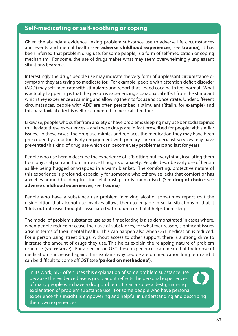# **Self-medicating or self-soothing or coping**

Given the abundant evidence linking problem substance use to adverse life circumstances and events and mental health (see **adverse childhood experiences**; see **trauma**), it has been inferred that problem drug use, for some people, is a form of self-medication or coping mechanism. For some, the use of drugs makes what may seem overwhelmingly unpleasant situations bearable.

Interestingly the drugs people use may indicate the very form of unpleasant circumstance or symptom they are trying to medicate for. For example, people with attention deficit disorder (ADD) may self-medicate with stimulants and report that 'I need cocaine to feel normal'. What is actually happening is that the person is experiencing a paradoxical effect from the stimulant which they experience as calming and allowing them to focus and concentrate. Under different circumstances, people with ADD are often prescribed a stimulant (Ritalin, for example) and this paradoxical effect is well-documented in medical literature.

Likewise, people who suffer from anxiety or have problems sleeping may use benzodiazepines to alleviate these experiences – and these drugs are in fact prescribed for people with similar issues. In these cases, the drug use mimics and replaces the medication they may have been prescribed by a doctor. Early engagement with primary care or specialist services may have prevented this kind of drug use which can become very problematic and last for years.

People who use heroin describe the experience of it 'blotting out everything', insulating them from physical pain and from intrusive thoughts or anxiety. People describe early use of heroin as like being hugged or wrapped in a warm blanket. The comforting, protective nature of this experience is profound, especially for someone who otherwise lacks that comfort or has anxieties around building trusting relationships or is traumatised. (See **drug of choice**; see **adverse childhood experiences;** see **trauma**)

People who have a substance use problem involving alcohol sometimes report that the disinhibition that alcohol use involves allows them to engage in social situations or that it 'blots out' intrusive thoughts associated with trauma or that it helps them sleep.

The model of problem substance use as self-medicating is also demonstrated in cases where, when people reduce or cease their use of substances, for whatever reason, significant issues arise in terms of their mental health. This can happen also when OST medication is reduced. For a person using street drugs, without access to other support, there is a strong drive to increase the amount of drugs they use. This helps explain the relapsing nature of problem drug use (see **relapse**). For a person on OST these experiences can mean that their dose of medication is increased again. This explains why people are on medication long term and it can be difficult to come off OST (see **'parked on methadone'**).

In its work, SDF often uses this explanation of some problem substance use because the evidence base is good and it reflects the personal experiences of many people who have a drug problem. It can also be a destigmatising explanation of problem substance use. For some people who have personal experience this insight is empowering and helpful in understanding and describing their own experiences.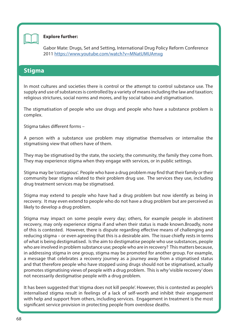

#### **Explore further:**

Gabor Mate: Drugs, Set and Setting, International Drug Policy Reform Conference 2011 [https://www.youtube.com/watch?v=MNatUMUAmxg](https://www.youtube.com/watch?v=MNatUMUAmxg )

### **Stigma**

In most cultures and societies there is control or the attempt to control substance use. The supply and use of substances is controlled by a variety of means including the law and taxation; religious strictures, social norms and mores, and by social taboo and stigmatisation.

The stigmatisation of people who use drugs and people who have a substance problem is complex.

Stigma takes different forms –

A person with a substance use problem may stigmatise themselves or internalise the stigmatising view that others have of them.

They may be stigmatised by the state, the society, the community, the family they come from. They may experience stigma when they engage with services, or in public settings.

Stigma may be 'contagious'. People who have a drug problem may find that their family or their community bear stigma related to their problem drug use. The services they use, including drug treatment services may be stigmatised.

Stigma may extend to people who have had a drug problem but now identify as being in recovery. It may even extend to people who do not have a drug problem but are perceived as likely to develop a drug problem.

Stigma may impact on some people every day; others, for example people in abstinent recovery, may only experience stigma if and when their status is made known.Broadly, none of this is contested. However, there is dispute regarding effective means of challenging and reducing stigma – or even agreeing that this is a desirable aim. The issue chiefly rests in terms of what is being destigmatised. Is the aim to destigmatise people who use substances, people who are involved in problem substance use; people who are in recovery? This matters because, in addressing stigma in one group, stigma may be promoted for another group. For example, a message that celebrates a recovery journey as a journey away from a stigmatised status and that therefore people who have stopped using drugs should not be stigmatised, actually promotes stigmatising views of people with a drug problem. This is why 'visible recovery' does not necessarily destigmatise people with a drug problem.

It has been suggested that 'stigma does not kill people'. However, this is contested as people's internalised stigma result in feelings of a lack of self-worth and inhibit their engagement with help and support from others, including services. Engagement in treatment is the most significant service provision in protecting people from overdose deaths.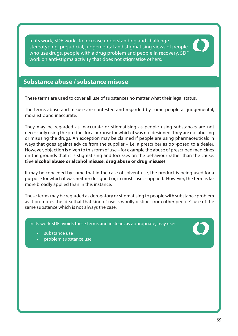In its work, SDF works to increase understanding and challenge stereotyping, prejudicial, judgemental and stigmatising views of people who use drugs, people with a drug problem and people in recovery. SDF work on anti-stigma activity that does not stigmatise others.



These terms are used to cover all use of substances no matter what their legal status.

The terms abuse and misuse are contested and regarded by some people as judgemental, moralistic and inaccurate.

They may be regarded as inaccurate or stigmatising as people using substances are not necessarily using the product for a purpose for which it was not designed. They are not abusing or misusing the drugs. An exception may be claimed if people are using pharmaceuticals in ways that goes against advice from the supplier  $-$  i.e. a prescriber as op $\neg$ posed to a dealer. However, objection is given to this form of use – for example the abuse of prescribed medicines on the grounds that it is stigmatising and focusses on the behaviour rather than the cause. (See **alcohol abuse or alcohol misuse**; **drug abuse or drug misuse**)

It may be conceded by some that in the case of solvent use, the product is being used for a purpose for which it was neither designed or, in most cases supplied. However, the term is far more broadly applied than in this instance.

These terms may be regarded as derogatory or stigmatising to people with substance problem as it promotes the idea that that kind of use is wholly distinct from other people's use of the same substance which is not always the case.

In its work SDF avoids these terms and instead, as appropriate, may use:

- substance use
- problem substance use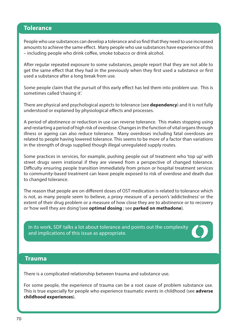### **Tolerance**

People who use substances can develop a tolerance and so find that they need to use increased amounts to achieve the same effect. Many people who use substances have experience of this – including people who drink coffee, smoke tobacco or drink alcohol.

After regular repeated exposure to some substances, people report that they are not able to get the same effect that they had in the previously when they first used a substance or first used a substance after a long break from use.

Some people claim that the pursuit of this early effect has led them into problem use. This is sometimes called 'chasing it'.

There are physical and psychological aspects to tolerance (see **dependency**) and it is not fully understood or explained by physiological effects and processes.

A period of abstinence or reduction in use can reverse tolerance. This makes stopping using and restarting a period of high risk of overdose. Changes in the function of vital organs through illness or ageing can also reduce tolerance. Many overdoses including fatal overdoses are related to people having lowered tolerance. This seems to be more of a factor than variations in the strength of drugs supplied though illegal unregulated supply routes.

Some practices in services, for example, pushing people out of treatment who 'top up' with street drugs seem irrational if they are viewed from a perspective of changed tolerance. Difficulty ensuring people transition immediately from prison or hospital treatment services to community-based treatment can leave people exposed to risk of overdose and death due to changed tolerance.

The reason that people are on different doses of OST medication is related to tolerance which is not, as many people seem to believe, a proxy measure of a person's 'addictedness' or the extent of their drug problem or a measure of how close they are to abstinence or to recovery or 'how well they are doing'(see **optimal dosing** ; see **parked on methadone**).

In its work, SDF talks a lot about tolerance and points out the complexity and implications of this issue as appropriate.



### **Trauma**

There is a complicated relationship between trauma and substance use.

For some people, the experience of trauma can be a root cause of problem substance use. This is true especially for people who experience traumatic events in childhood (see **adverse childhood experiences**).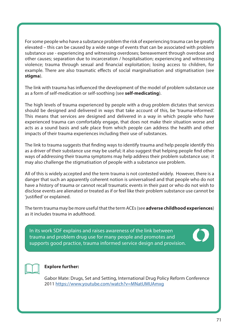For some people who have a substance problem the risk of experiencing trauma can be greatly elevated – this can be caused by a wide range of events that can be associated with problem substance use - experiencing and witnessing overdoses; bereavement through overdose and other causes; separation due to incarceration / hospitalisation; experiencing and witnessing violence; trauma through sexual and financial exploitation; losing access to children, for example. There are also traumatic effects of social marginalisation and stigmatisation (see **stigma**).

The link with trauma has influenced the development of the model of problem substance use as a form of self-medication or self-soothing (see **self-medicating**).

The high levels of trauma experienced by people with a drug problem dictates that services should be designed and delivered in ways that take account of this, be 'trauma-informed'. This means that services are designed and delivered in a way in which people who have experienced trauma can comfortably engage, that does not make their situation worse and acts as a sound basis and safe place from which people can address the health and other impacts of their trauma experiences including their use of substances.

The link to trauma suggests that finding ways to identify trauma and help people identify this as a driver of their substance use may be useful; it also suggest that helping people find other ways of addressing their trauma symptoms may help address their problem substance use; it may also challenge the stigmatisation of people with a substance use problem.

All of this is widely accepted and the term trauma is not contested widely. However, there is a danger that such an apparently coherent notion is universalised and that people who do not have a history of trauma or cannot recall traumatic events in their past or who do not wish to disclose events are alienated or treated as if or feel like their problem substance use cannot be 'justified' or explained.

The term trauma may be more useful that the term ACEs (see **adverse childhood experiences**) as it includes trauma in adulthood.

In its work SDF explains and raises awareness of the link between trauma and problem drug use for many people and promotes and supports good practice, trauma informed service design and provision.





#### **Explore further:**

Gabor Mate: Drugs, Set and Setting, International Drug Policy Reform Conference 2011 [https://www.youtube.com/watch?v=MNatUMUAmxg](https://www.youtube.com/watch?v=MNatUMUAmxg )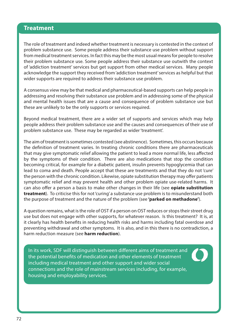### **Treatment**

The role of treatment and indeed whether treatment is necessary is contested in the context of problem substance use. Some people address their substance use problem without support from medical treatment services. In fact this may be the most usual means for people to resolve their problem substance use. Some people address their substance use outwith the context of 'addiction treatment' services but get support from other medical services. Many people acknowledge the support they received from 'addiction treatment' services as helpful but that wider supports are required to address their substance use problem.

A consensus view may be that medical and pharmaceutical-based supports can help people in addressing and resolving their substance use problem and in addressing some of the physical and mental health issues that are a cause and consequence of problem substance use but these are unlikely to be the only supports or services required.

Beyond medical treatment, there are a wider set of supports and services which may help people address their problem substance use and the causes and consequences of their use of problem substance use. These may be regarded as wider 'treatment'.

The aim of treatment is sometimes contested (see abstinence). Sometimes, this occurs because the definition of treatment varies. In treating chronic conditions there are pharmaceuticals that may give symptomatic relief allowing the patient to lead a more normal life, less affected by the symptoms of their condition. There are also medications that stop the condition becoming critical, for example for a diabetic patient, insulin prevents hypoglycemia that can lead to coma and death. People accept that these are treatments and that they do not 'cure' the person with the chronic condition. Likewise, opiate substitution therapy may offer patients symptomatic relief and may prevent health and other problem opiate use-related harms. It can also offer a person a basis to make other changes in their life (see **opiate substitution treatment**). To criticise this for not 'curing' a substance use problem is to misunderstand both the purpose of treatment and the nature of the problem (see **'parked on methadone'**).

A question remains, what is the role of OST if a person on OST reduces or stops their street drug use but does not engage with other supports, for whatever reason. Is this treatment? It is, at it clearly has health benefits in reducing health risks and harms including fatal overdose and preventing withdrawal and other symptoms. It is also, and in this there is no contradiction, a harm reduction measure (see **harm reduction**).

In its work, SDF will distinguish between different aims of treatment and the potential benefits of medication and other elements of treatment including medical treatment and other support and wider social connections and the role of mainstream services including, for example, housing and employability services.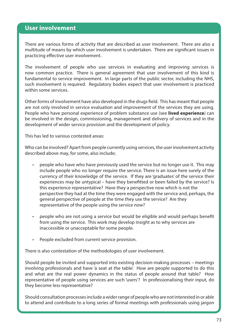### **User involvement**

There are various forms of activity that are described as user involvement. There are also a multitude of means by which user involvement is undertaken. There are significant issues in practicing effective user involvement.

The involvement of people who use services in evaluating and improving services is now common practice. There is general agreement that user involvement of this kind is fundamental to service improvement. In large parts of the public sector, including the NHS, such involvement is required. Regulatory bodies expect that user involvement is practiced within some services.

Other forms of involvement have also developed in the drugs field. This has meant that people are not only involved in service evaluation and improvement of the services they are using. People who have personal experience of problem substance use (see **lived experience**) can be involved in the design, commissioning, management and delivery of services and in the development of wider service provision and the development of policy.

This has led to various contested areas:

Who can be involved? Apart from people currently using services, the user involvement activity described above may, for some, also include;

- people who have who have previously used the service but no longer use it. This may include people who no longer require the service. There is an issue here surely of the currency of their knowledge of the service. If they are 'graduates' of the service their experiences may be untypical – have they benefitted or been failed by the service? Is this experience representative? Have they a perspective now which is not the perspective they had at the time they were engaged with the service and, perhaps, the general perspective of people at the time they use the service? Are they representative of the people using the service now?
- people who are not using a service but would be eligible and would perhaps benefit from using the service. This work may develop insight as to why services are inaccessible or unacceptable for some people.
- People excluded from current service provision.

There is also contestation of the methodologies of user involvement.

Should people be invited and supported into existing decision-making processes – meetings involving professionals and have 'a seat at the table'. How are people supported to do this and what are the real power dynamics in the status of people around that table? How representative of people using services are such 'users'? In professionalising their input, do they become less representative?

Should consultation processes include a wider range of people who are not interested in or able to attend and contribute to a long series of formal meetings with professionals using jargon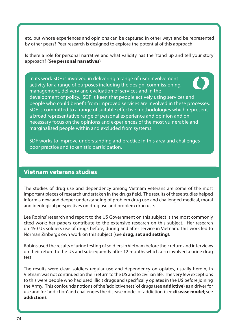etc. but whose experiences and opinions can be captured in other ways and be represented by other peers? Peer research is designed to explore the potential of this approach.

Is there a role for personal narrative and what validity has the 'stand up and tell your story' approach? (See **personal narratives**)

In its work SDF is involved in delivering a range of user involvement activity for a range of purposes including the design, commissioning, management, delivery and evaluation of services and in the development of policy. SDF is keen that people actively using services and people who could benefit from improved services are involved in these processes. SDF is committed to a range of suitable effective methodologies which represent a broad representative range of personal experience and opinion and on necessary focus on the opinions and experiences of the most vulnerable and marginalised people within and excluded from systems.

SDF works to improve understanding and practice in this area and challenges poor practice and tokenistic participation.

#### **Vietnam veterans studies**

The studies of drug use and dependency among Vietnam veterans are some of the most important pieces of research undertaken in the drugs field. The results of these studies helped inform a new and deeper understanding of problem drug use and challenged medical, moral and ideological perspectives on drug use and problem drug use.

Lee Robins' research and report to the US Government on this subject is the most commonly cited work; her papers contribute to the extensive research on this subject. Her research on 450 US soldiers use of drugs before, during and after service in Vietnam. This work led to Norman Zinberg's own work on this subject (see **drug, set and setting**).

Robins used the results of urine testing of soldiers in Vietnam before their return and interviews on their return to the US and subsequently after 12 months which also involved a urine drug test.

The results were clear, soldiers regular use and dependency on opiates, usually heroin, in Vietnam was not continued on their return to the US and to civilian life. The very few exceptions to this were people who had used illicit drugs and specifically opiates in the US before joining the Army. This confounds notions of the 'addictiveness' of drugs (see **addictive**) as a driver for use and for 'addiction' and challenges the disease model of 'addiction' (see **disease model**; see **addiction**).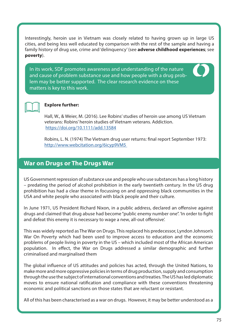Interestingly, heroin use in Vietnam was closely related to having grown up in large US cities, and being less well educated by comparison with the rest of the sample and having a family history of drug use, crime and 'delinquency' (see **adverse childhood experiences**; see **poverty**).

In its work, SDF promotes awareness and understanding of the nature and cause of problem substance use and how people with a drug problem may be better supported. The clear research evidence on these matters is key to this work.





#### **Explore further:**

Hall, W., & Weier, M. (2016). Lee Robins' studies of heroin use among US Vietnam veterans: Robins' heroin studies of Vietnam veterans. Addiction. <https://doi.org/10.1111/add.13584>

Robins, L. N. (1974) The Vietnam drug user returns: final report September 1973: [http://www.webcitation.org/6icyp9VM5](http://www.webcitation.org/6icyp9VM5 ) 

### **War on Drugs or The Drugs War**

US Government repression of substance use and people who use substances has a long history – predating the period of alcohol prohibition in the early twentieth century. In the US drug prohibition has had a clear theme in focussing on and oppressing black communities in the USA and white people who associated with black people and their culture.

In June 1971, US President Richard Nixon, in a public address, declared an offensive against drugs and claimed that drug abuse had become "public enemy number one". 'In order to fight and defeat this enemy it is necessary to wage a new, all-out offensive'.

This was widely reported as The War on Drugs. This replaced his predecessor, Lyndon Johnson's War On Poverty which had been used to improve access to education and the economic problems of people living in poverty in the US – which included most of the African American population. In effect, the War on Drugs addressed a similar demographic and further criminalised and marginalised them

The global influence of US attitudes and policies has acted, through the United Nations, to make more and more oppressive policies in terms of drug production, supply and consumption through the use the subject of international conventions and treaties. The US has led diplomatic moves to ensure national ratification and compliance with these conventions threatening economic and political sanctions on those states that are reluctant or resistant.

All of this has been characterised as a war on drugs. However, it may be better understood as a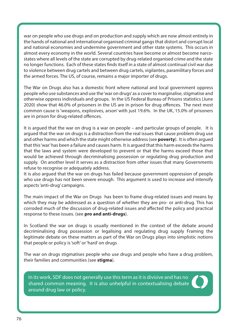war on people who use drugs and on production and supply which are now almost entirely in the hands of national and international organised criminal gangs that distort and corrupt local and national economies and undermine government and other state systems. This occurs in almost every economy in the world. Several countries have become or almost become narcostates where all levels of the state are corrupted by drug-related organised crime and the state no longer functions. Each of these states finds itself in a state of almost continual civil war due to violence between drug cartels and between drug cartels, vigilantes, paramilitary forces and the armed forces. The US, of course, remains a major importer of drugs.

The War on Drugs also has a domestic front where national and local government oppress people who use substances and use the 'war on drugs' as a cover to marginalise, stigmatise and otherwise oppress individuals and groups. In the US Federal Bureau of Prisons statistics (June 2020) show that 46.0% of prisoners in the US are in prison for drug offences. The next most common cause is 'weapons, explosives, arson' with just 19.6%. In the UK, 15.0% of prisoners are in prison for drug-related offences.

It is argued that the war on drug is a war on people – and particular groups of people. It is argued that the war on drugs is a distraction from the real issues that cause problem drug use and other harms and which the state might otherwise address (see **poverty**). It is often argued that this 'war' has been a failure and causes harm. It is argued that this harm exceeds the harms that the laws and system were developed to prevent or that the harms exceed those that would be achieved through decriminalising possession or regulating drug production and supply. On another level it serves as a distraction from other issues that many Governments refuse to recognise or adequately address.

It is also argued that the war on drugs has failed because government oppression of people who use drugs has not been severe enough. This argument is used to increase and intensify aspects 'anti-drug' campaigns.

The main impact of the War on Drugs has been to frame drug-related issues and means by which they may be addressed as a question of whether they are pro- or anti-drug. This has corroded much of the discussion of drug-related issues and affected the policy and practical response to these issues. (see **pro and anti-drugs**).

In Scotland the war on drugs is usually mentioned in the context of the debate around decriminalising drug possession or legalising and regulating drug supply Framing the legitimate debate on these matters as part of the War on Drugs plays into simplistic notions that people or policy is 'soft' or 'hard' on drugs

The war on drugs stigmatises people who use drugs and people who have a drug problem, their families and communities (see **stigma**).

In its work, SDF does not generally use this term as it is divisive and has no shared common meaning. It is also unhelpful in contextualising debate around drug law or policy.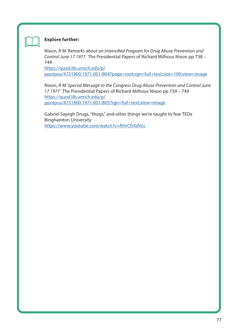

#### **Explore further:**

Nixon, R M 'Remarks about an Intensified Program for Drug Abuse Prevention and Control June 17 1971' The Presidential Papers of Richard Milhous Nixon pp 738 – 749

[https://quod.lib.umich.edu/p/](https://quod.lib.umich.edu/p/ppotpus/4731800.1971.001/804?page=root;rgn=full+text;size=100;view=imag) [ppotpus/4731800.1971.001/804?page=root;rgn=full+text;size=100;view=image](https://quod.lib.umich.edu/p/ppotpus/4731800.1971.001/804?page=root;rgn=full+text;size=100;view=imag)

Nixon, R M 'Special Message to the Congress Drug Abuse Prevention and Control June 17 1971' The Presidential Papers of Richard Milhous Nixon pp 739 – 749 [https://quod.lib.umich.edu/p/](https://quod.lib.umich.edu/p/ppotpus/4731800.1971.001/805?rgn=full+text;view=image) [ppotpus/4731800.1971.001/805?rgn=full+text;view=image](https://quod.lib.umich.edu/p/ppotpus/4731800.1971.001/805?rgn=full+text;view=image)

Gabriel Sayegh Drugs, "thugs," and other things we're taught to fear TEDx Binghamton University <https://www.youtube.com/watch?v=RHrCfrXdVcc>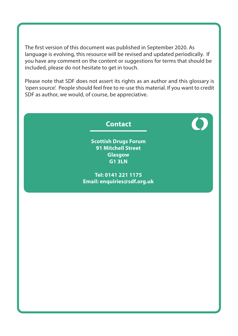The first version of this document was published in September 2020. As language is evolving, this resource will be revised and updated periodically. If you have any comment on the content or suggestions for terms that should be included, please do not hesitate to get in touch.

Please note that SDF does not assert its rights as an author and this glossary is 'open source'. People should feel free to re-use this material. If you want to credit SDF as author, we would, of course, be appreciative.

# **Contact**

**Scottish Drugs Forum 91 Mitchell Street Glasgow G1 3LN**

**Tel: 0141 221 1175 Email: enquiries@sdf.org.uk**